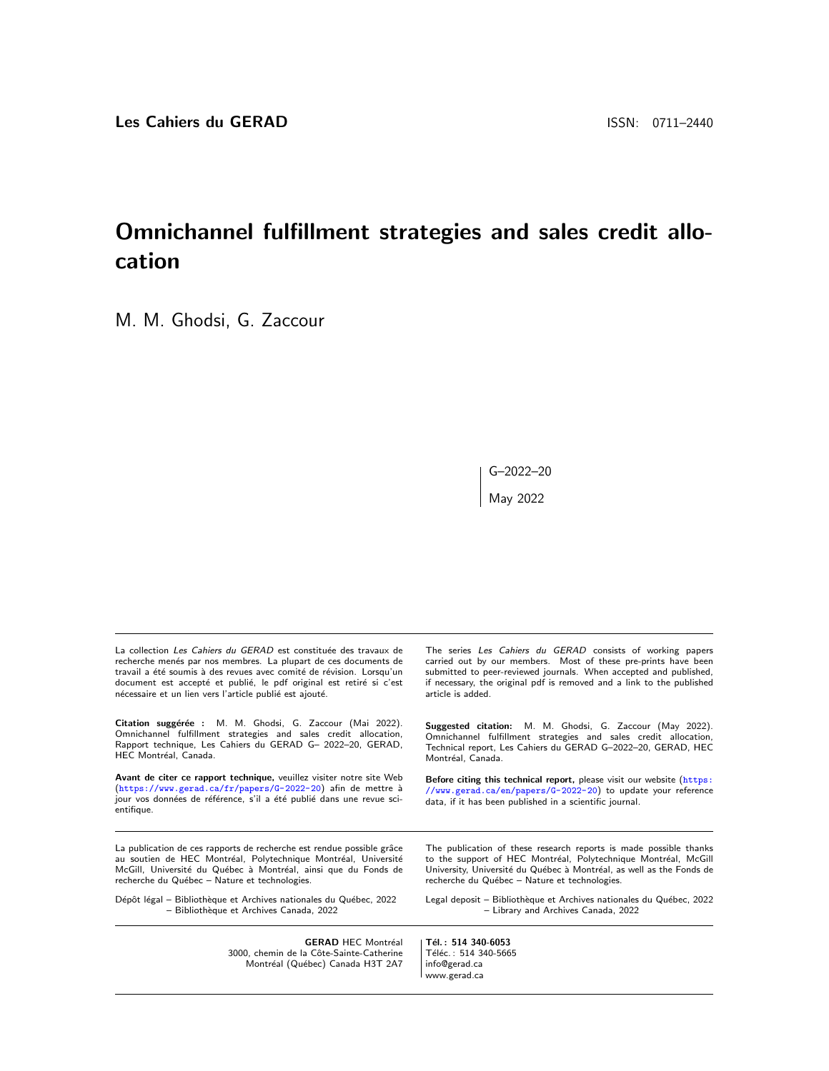# Omnichannel fulfillment strategies and sales credit allocation

M. M. Ghodsi, G. Zaccour

 $G - 2022 - 20$ May 2022

| La collection Les Cahiers du GERAD est constituée des travaux de                                                                                                                                                          | The series Les Cahiers du GERAD consists of working papers                                                                                                                                       |
|---------------------------------------------------------------------------------------------------------------------------------------------------------------------------------------------------------------------------|--------------------------------------------------------------------------------------------------------------------------------------------------------------------------------------------------|
| recherche menés par nos membres. La plupart de ces documents de                                                                                                                                                           | carried out by our members. Most of these pre-prints have been                                                                                                                                   |
| travail a été soumis à des revues avec comité de révision. Lorsqu'un                                                                                                                                                      | submitted to peer-reviewed journals. When accepted and published,                                                                                                                                |
| document est accepté et publié, le pdf original est retiré si c'est                                                                                                                                                       | if necessary, the original pdf is removed and a link to the published                                                                                                                            |
| nécessaire et un lien vers l'article publié est ajouté.                                                                                                                                                                   | article is added.                                                                                                                                                                                |
| Citation suggérée : M. M. Ghodsi, G. Zaccour (Mai 2022).                                                                                                                                                                  | <b>Suggested citation:</b> M. M. Ghodsi, G. Zaccour (May 2022).                                                                                                                                  |
| Omnichannel fulfillment strategies and sales credit allocation,                                                                                                                                                           | Omnichannel fulfillment strategies and sales credit allocation,                                                                                                                                  |
| Rapport technique, Les Cahiers du GERAD G- 2022-20, GERAD,                                                                                                                                                                | Technical report, Les Cahiers du GERAD G-2022-20, GERAD, HEC                                                                                                                                     |
| HEC Montréal. Canada.                                                                                                                                                                                                     | Montréal. Canada.                                                                                                                                                                                |
| Avant de citer ce rapport technique, veuillez visiter notre site Web<br>(https://www.gerad.ca/fr/papers/G-2022-20) afin de mettre à<br>jour vos données de référence, s'il a été publié dans une revue sci-<br>entifique. | Before citing this technical report, please visit our website (https:<br>//www.gerad.ca/en/papers/G-2022-20) to update your reference<br>data, if it has been published in a scientific journal. |
| La publication de ces rapports de recherche est rendue possible grâce                                                                                                                                                     | The publication of these research reports is made possible thanks                                                                                                                                |
| au soutien de HEC Montréal, Polytechnique Montréal, Université                                                                                                                                                            | to the support of HEC Montréal, Polytechnique Montréal, McGill                                                                                                                                   |
| McGill, Université du Québec à Montréal, ainsi que du Fonds de                                                                                                                                                            | University, Université du Québec à Montréal, as well as the Fonds de                                                                                                                             |
| recherche du Québec - Nature et technologies.                                                                                                                                                                             | recherche du Québec - Nature et technologies.                                                                                                                                                    |
| Dépôt légal - Bibliothèque et Archives nationales du Québec, 2022                                                                                                                                                         | Legal deposit - Bibliothèque et Archives nationales du Québec, 2022                                                                                                                              |
| - Bibliothèque et Archives Canada, 2022                                                                                                                                                                                   | - Library and Archives Canada, 2022                                                                                                                                                              |
| <b>GERAD HEC Montréal</b><br>3000, chemin de la Côte-Sainte-Catherine<br>Montréal (Québec) Canada H3T 2A7                                                                                                                 | Tél.: 514 340-6053<br>Téléc.: 514 340-5665<br>info@gerad.ca<br>www.gerad.ca                                                                                                                      |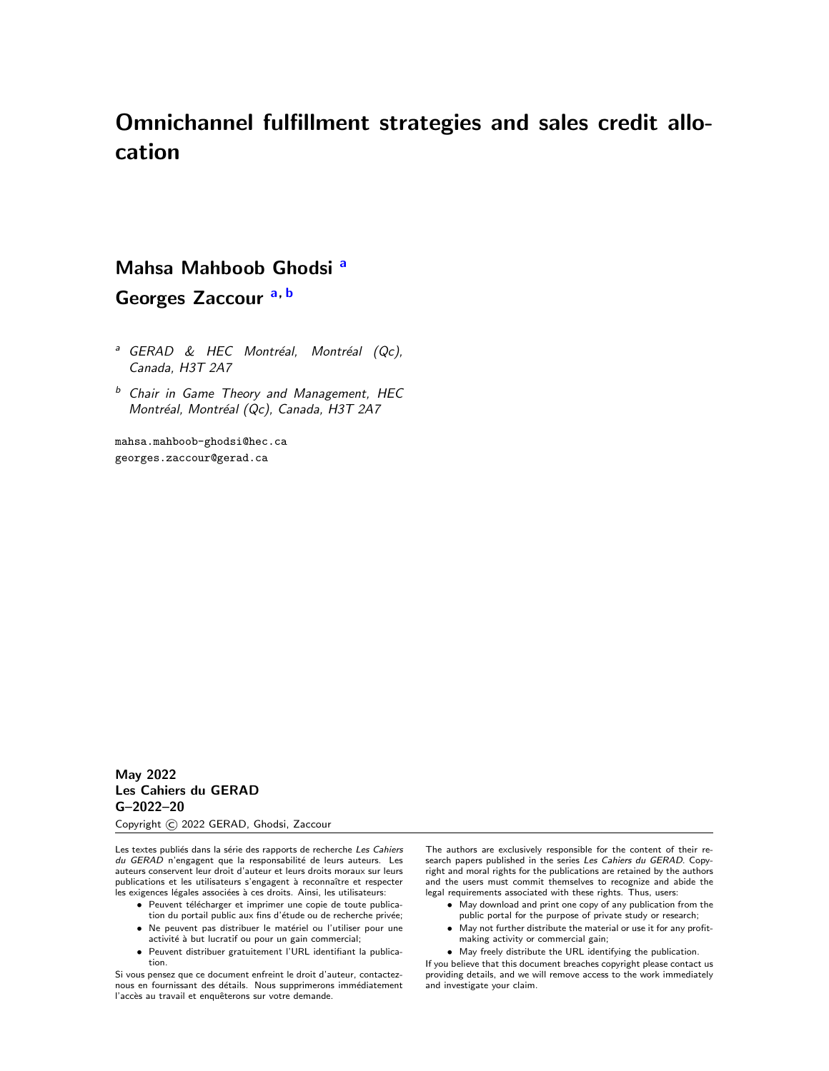# Omnichannel fulfillment strategies and sales credit allocation

# Mahsa Mahboob Ghodsi [a](#page-1-0)

Georges Zaccour [a,](#page-1-0) [b](#page-1-1)

- <span id="page-1-0"></span><sup>a</sup> GERAD & HEC Montréal, Montréal (Qc), Canada, H3T 2A7
- <span id="page-1-1"></span> $<sup>b</sup>$  Chair in Game Theory and Management, HEC</sup> Montréal, Montréal (Qc), Canada, H3T 2A7

mahsa.mahboob-ghodsi@hec.ca georges.zaccour@gerad.ca

May 2022 Les Cahiers du GERAD G–2022–20

Copyright © 2022 GERAD, Ghodsi, Zaccour

Les textes publiés dans la série des rapports de recherche Les Cahiers du GERAD n'engagent que la responsabilité de leurs auteurs. Les auteurs conservent leur droit d'auteur et leurs droits moraux sur leurs publications et les utilisateurs s'engagent à reconnaître et respecter les exigences légales associées à ces droits. Ainsi, les utilisateurs:

- · Peuvent télécharger et imprimer une copie de toute publica-
- tion du portail public aux fins d'étude ou de recherche privée; • Ne peuvent pas distribuer le matériel ou l'utiliser pour une activité à but lucratif ou pour un gain commercial;
- Peuvent distribuer gratuitement l'URL identifiant la publication.

Si vous pensez que ce document enfreint le droit d'auteur, contacteznous en fournissant des détails. Nous supprimerons immédiatement l'accès au travail et enquêterons sur votre demande.

The authors are exclusively responsible for the content of their research papers published in the series Les Cahiers du GERAD. Copyright and moral rights for the publications are retained by the authors and the users must commit themselves to recognize and abide the legal requirements associated with these rights. Thus, users:

- May download and print one copy of any publication from the
- public portal for the purpose of private study or research; • May not further distribute the material or use it for any profitmaking activity or commercial gain;
- May freely distribute the URL identifying the publication.

If you believe that this document breaches copyright please contact us providing details, and we will remove access to the work immediately and investigate your claim.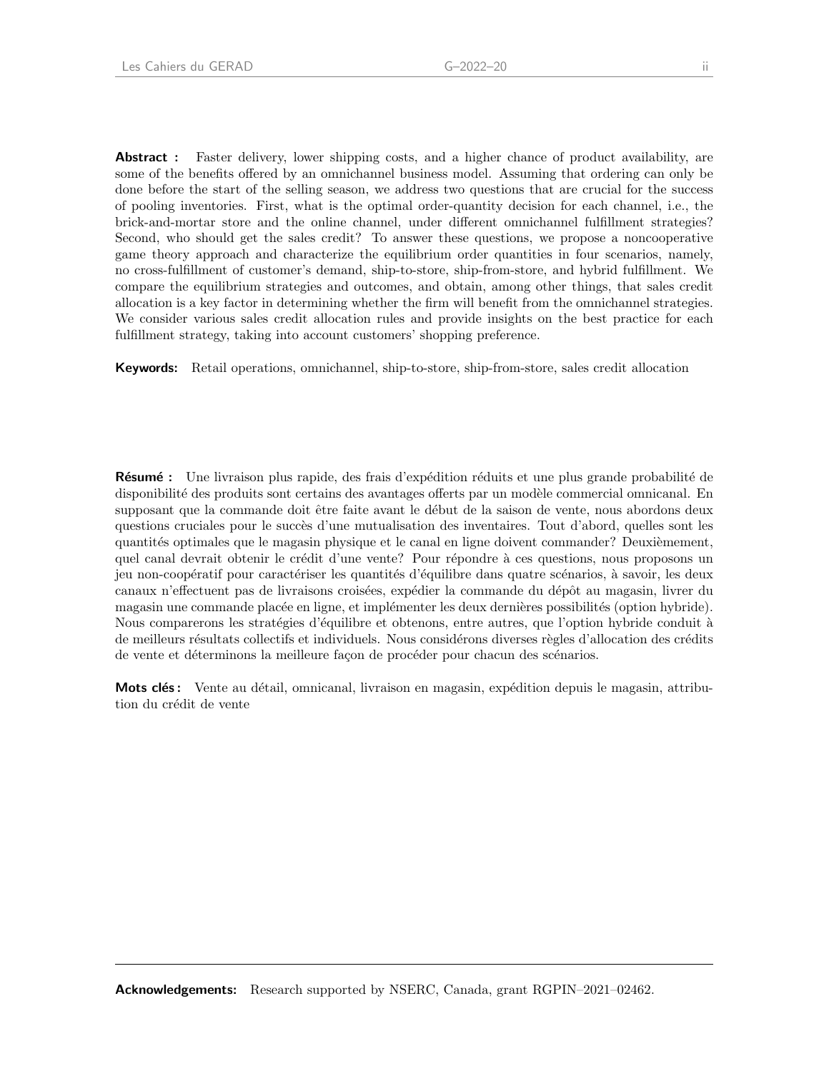**Abstract**: Faster delivery, lower shipping costs, and a higher chance of product availability, are some of the benefits offered by an omnichannel business model. Assuming that ordering can only be done before the start of the selling season, we address two questions that are crucial for the success of pooling inventories. First, what is the optimal order-quantity decision for each channel, i.e., the brick-and-mortar store and the online channel, under different omnichannel fulfillment strategies? Second, who should get the sales credit? To answer these questions, we propose a noncooperative game theory approach and characterize the equilibrium order quantities in four scenarios, namely, no cross-fulfillment of customer's demand, ship-to-store, ship-from-store, and hybrid fulfillment. We compare the equilibrium strategies and outcomes, and obtain, among other things, that sales credit allocation is a key factor in determining whether the firm will benefit from the omnichannel strategies. We consider various sales credit allocation rules and provide insights on the best practice for each fulfillment strategy, taking into account customers' shopping preference.

Keywords: Retail operations, omnichannel, ship-to-store, ship-from-store, sales credit allocation

**R'esumé :** Une livraison plus rapide, des frais d'expédition réduits et une plus grande probabilité de disponibilité des produits sont certains des avantages offerts par un modèle commercial omnicanal. En supposant que la commande doit être faite avant le début de la saison de vente, nous abordons deux questions cruciales pour le succès d'une mutualisation des inventaires. Tout d'abord, quelles sont les quantités optimales que le magasin physique et le canal en ligne doivent commander? Deuxièmement, quel canal devrait obtenir le crédit d'une vente? Pour répondre à ces questions, nous proposons un jeu non-coopératif pour caractériser les quantités d'équilibre dans quatre scénarios, à savoir, les deux canaux n'effectuent pas de livraisons croisées, expédier la commande du dépôt au magasin, livrer du magasin une commande placée en ligne, et implémenter les deux dernières possibilités (option hybride). Nous comparerons les stratégies d'équilibre et obtenons, entre autres, que l'option hybride conduit à de meilleurs résultats collectifs et individuels. Nous considérons diverses règles d'allocation des crédits de vente et déterminons la meilleure façon de procéder pour chacun des scénarios.

**Mots clés:** Vente au détail, omnicanal, livraison en magasin, expédition depuis le magasin, attribution du crédit de vente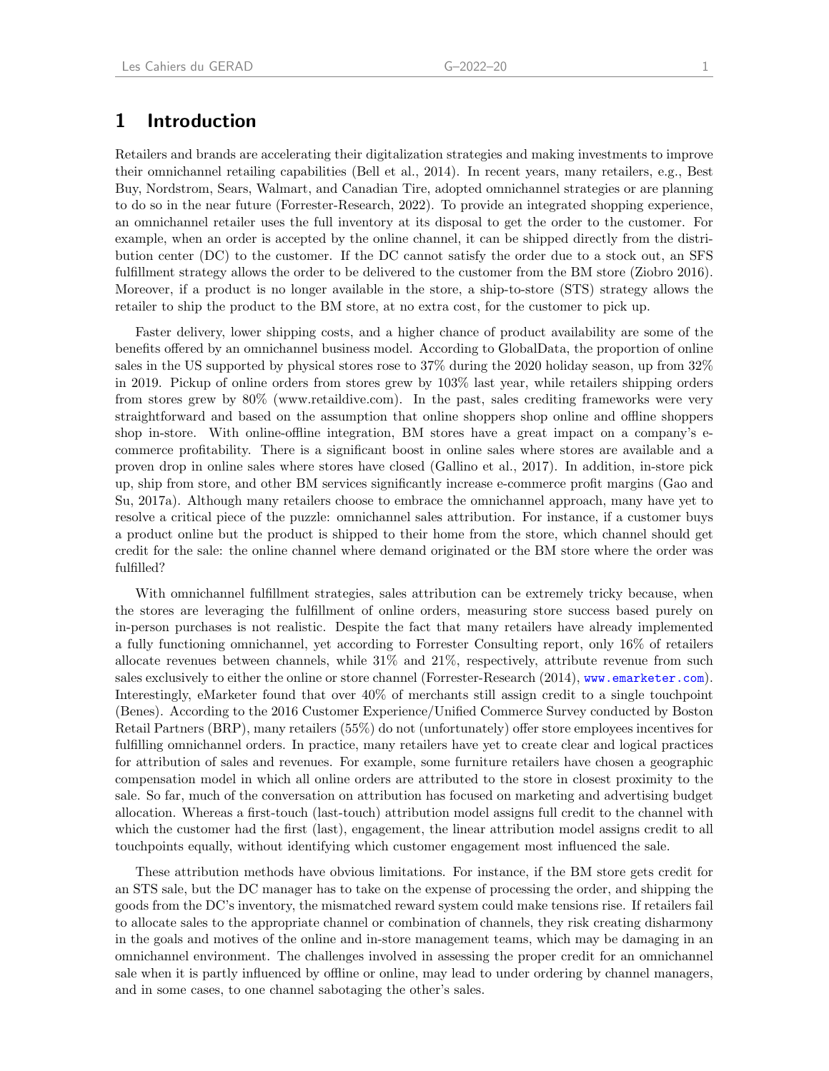### 1 Introduction

Retailers and brands are accelerating their digitalization strategies and making investments to improve their omnichannel retailing capabilities [\(Bell et al.,](#page-27-0) [2014\)](#page-27-0). In recent years, many retailers, e.g., Best Buy, Nordstrom, Sears, Walmart, and Canadian Tire, adopted omnichannel strategies or are planning to do so in the near future [\(Forrester-Research,](#page-27-1) [2022\)](#page-27-1). To provide an integrated shopping experience, an omnichannel retailer uses the full inventory at its disposal to get the order to the customer. For example, when an order is accepted by the online channel, it can be shipped directly from the distribution center (DC) to the customer. If the DC cannot satisfy the order due to a stock out, an SFS fulfillment strategy allows the order to be delivered to the customer from the BM store (Ziobro 2016). Moreover, if a product is no longer available in the store, a ship-to-store (STS) strategy allows the retailer to ship the product to the BM store, at no extra cost, for the customer to pick up.

Faster delivery, lower shipping costs, and a higher chance of product availability are some of the benefits offered by an omnichannel business model. According to GlobalData, the proportion of online sales in the US supported by physical stores rose to 37% during the 2020 holiday season, up from 32% in 2019. Pickup of online orders from stores grew by 103% last year, while retailers shipping orders from stores grew by 80% (www.retaildive.com). In the past, sales crediting frameworks were very straightforward and based on the assumption that online shoppers shop online and offline shoppers shop in-store. With online-offline integration, BM stores have a great impact on a company's ecommerce profitability. There is a significant boost in online sales where stores are available and a proven drop in online sales where stores have closed [\(Gallino et al.,](#page-27-2) [2017\)](#page-27-2). In addition, in-store pick up, ship from store, and other BM services significantly increase e-commerce profit margins [\(Gao and](#page-27-3) [Su,](#page-27-3) [2017a\)](#page-27-3). Although many retailers choose to embrace the omnichannel approach, many have yet to resolve a critical piece of the puzzle: omnichannel sales attribution. For instance, if a customer buys a product online but the product is shipped to their home from the store, which channel should get credit for the sale: the online channel where demand originated or the BM store where the order was fulfilled?

With omnichannel fulfillment strategies, sales attribution can be extremely tricky because, when the stores are leveraging the fulfillment of online orders, measuring store success based purely on in-person purchases is not realistic. Despite the fact that many retailers have already implemented a fully functioning omnichannel, yet according to Forrester Consulting report, only 16% of retailers allocate revenues between channels, while 31% and 21%, respectively, attribute revenue from such sales exclusively to either the online or store channel [\(Forrester-Research](#page-27-4) [\(2014\)](#page-27-4), <www.emarketer.com>). Interestingly, eMarketer found that over 40% of merchants still assign credit to a single touchpoint [\(Benes\)](#page-27-5). According to the 2016 Customer Experience/Unified Commerce Survey conducted by Boston Retail Partners (BRP), many retailers (55%) do not (unfortunately) offer store employees incentives for fulfilling omnichannel orders. In practice, many retailers have yet to create clear and logical practices for attribution of sales and revenues. For example, some furniture retailers have chosen a geographic compensation model in which all online orders are attributed to the store in closest proximity to the sale. So far, much of the conversation on attribution has focused on marketing and advertising budget allocation. Whereas a first-touch (last-touch) attribution model assigns full credit to the channel with which the customer had the first (last), engagement, the linear attribution model assigns credit to all touchpoints equally, without identifying which customer engagement most influenced the sale.

These attribution methods have obvious limitations. For instance, if the BM store gets credit for an STS sale, but the DC manager has to take on the expense of processing the order, and shipping the goods from the DC's inventory, the mismatched reward system could make tensions rise. If retailers fail to allocate sales to the appropriate channel or combination of channels, they risk creating disharmony in the goals and motives of the online and in-store management teams, which may be damaging in an omnichannel environment. The challenges involved in assessing the proper credit for an omnichannel sale when it is partly influenced by offline or online, may lead to under ordering by channel managers, and in some cases, to one channel sabotaging the other's sales.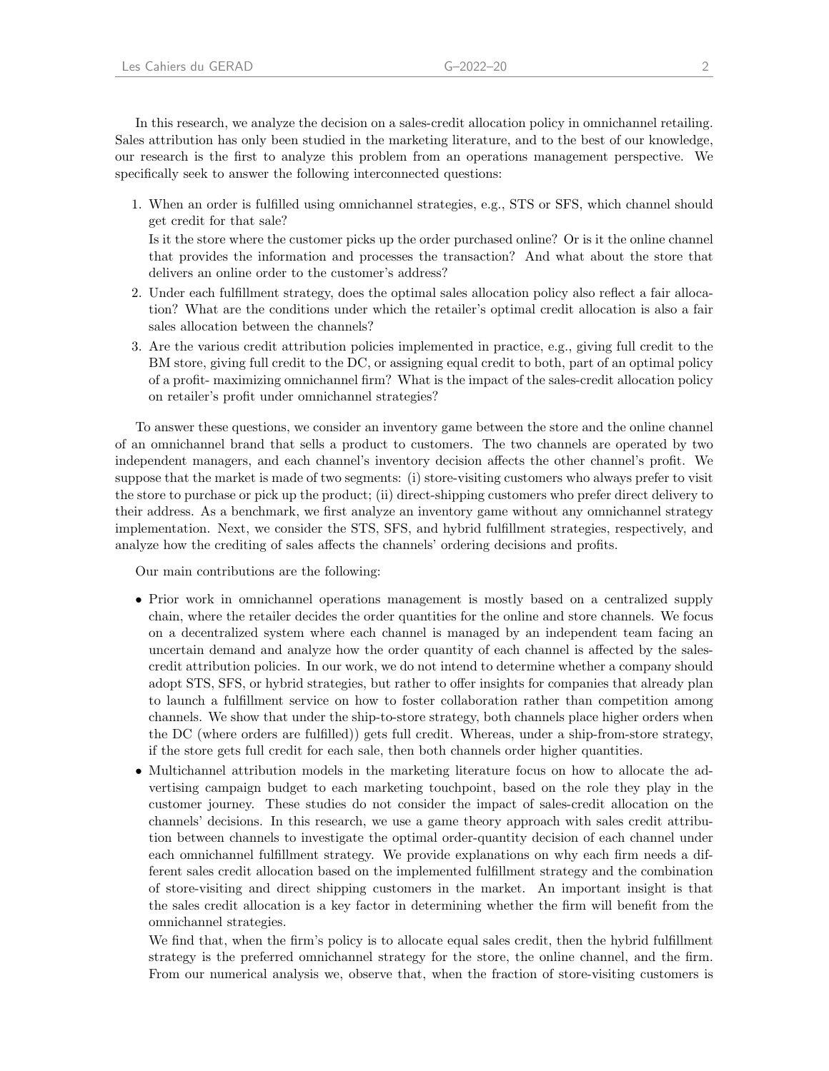In this research, we analyze the decision on a sales-credit allocation policy in omnichannel retailing. Sales attribution has only been studied in the marketing literature, and to the best of our knowledge, our research is the first to analyze this problem from an operations management perspective. We specifically seek to answer the following interconnected questions:

1. When an order is fulfilled using omnichannel strategies, e.g., STS or SFS, which channel should get credit for that sale?

Is it the store where the customer picks up the order purchased online? Or is it the online channel that provides the information and processes the transaction? And what about the store that delivers an online order to the customer's address?

- 2. Under each fulfillment strategy, does the optimal sales allocation policy also reflect a fair allocation? What are the conditions under which the retailer's optimal credit allocation is also a fair sales allocation between the channels?
- 3. Are the various credit attribution policies implemented in practice, e.g., giving full credit to the BM store, giving full credit to the DC, or assigning equal credit to both, part of an optimal policy of a profit- maximizing omnichannel firm? What is the impact of the sales-credit allocation policy on retailer's profit under omnichannel strategies?

To answer these questions, we consider an inventory game between the store and the online channel of an omnichannel brand that sells a product to customers. The two channels are operated by two independent managers, and each channel's inventory decision affects the other channel's profit. We suppose that the market is made of two segments: (i) store-visiting customers who always prefer to visit the store to purchase or pick up the product; (ii) direct-shipping customers who prefer direct delivery to their address. As a benchmark, we first analyze an inventory game without any omnichannel strategy implementation. Next, we consider the STS, SFS, and hybrid fulfillment strategies, respectively, and analyze how the crediting of sales affects the channels' ordering decisions and profits.

Our main contributions are the following:

- Prior work in omnichannel operations management is mostly based on a centralized supply chain, where the retailer decides the order quantities for the online and store channels. We focus on a decentralized system where each channel is managed by an independent team facing an uncertain demand and analyze how the order quantity of each channel is affected by the salescredit attribution policies. In our work, we do not intend to determine whether a company should adopt STS, SFS, or hybrid strategies, but rather to offer insights for companies that already plan to launch a fulfillment service on how to foster collaboration rather than competition among channels. We show that under the ship-to-store strategy, both channels place higher orders when the DC (where orders are fulfilled)) gets full credit. Whereas, under a ship-from-store strategy, if the store gets full credit for each sale, then both channels order higher quantities.
- Multichannel attribution models in the marketing literature focus on how to allocate the advertising campaign budget to each marketing touchpoint, based on the role they play in the customer journey. These studies do not consider the impact of sales-credit allocation on the channels' decisions. In this research, we use a game theory approach with sales credit attribution between channels to investigate the optimal order-quantity decision of each channel under each omnichannel fulfillment strategy. We provide explanations on why each firm needs a different sales credit allocation based on the implemented fulfillment strategy and the combination of store-visiting and direct shipping customers in the market. An important insight is that the sales credit allocation is a key factor in determining whether the firm will benefit from the omnichannel strategies.

We find that, when the firm's policy is to allocate equal sales credit, then the hybrid fulfillment strategy is the preferred omnichannel strategy for the store, the online channel, and the firm. From our numerical analysis we, observe that, when the fraction of store-visiting customers is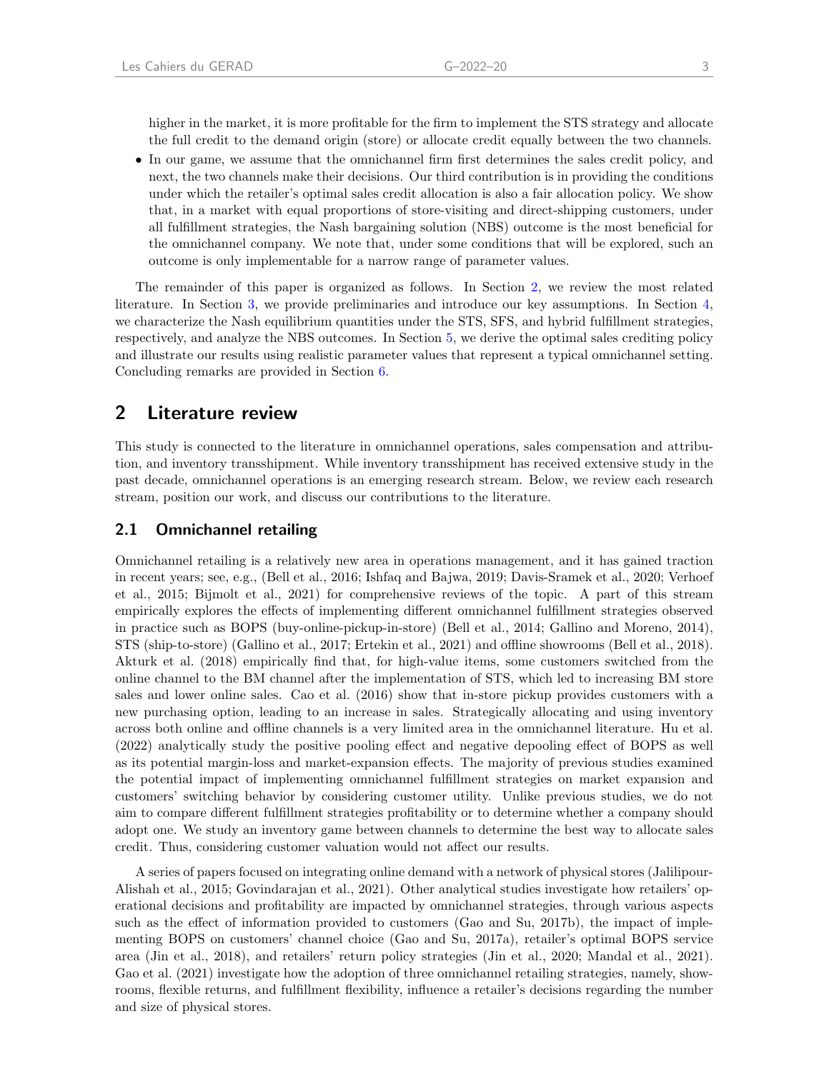higher in the market, it is more profitable for the firm to implement the STS strategy and allocate the full credit to the demand origin (store) or allocate credit equally between the two channels.

• In our game, we assume that the omnichannel firm first determines the sales credit policy, and next, the two channels make their decisions. Our third contribution is in providing the conditions under which the retailer's optimal sales credit allocation is also a fair allocation policy. We show that, in a market with equal proportions of store-visiting and direct-shipping customers, under all fulfillment strategies, the Nash bargaining solution (NBS) outcome is the most beneficial for the omnichannel company. We note that, under some conditions that will be explored, such an outcome is only implementable for a narrow range of parameter values.

The remainder of this paper is organized as follows. In Section [2,](#page-5-0) we review the most related literature. In Section [3,](#page-7-0) we provide preliminaries and introduce our key assumptions. In Section [4,](#page-9-0) we characterize the Nash equilibrium quantities under the STS, SFS, and hybrid fulfillment strategies, respectively, and analyze the NBS outcomes. In Section [5,](#page-18-0) we derive the optimal sales crediting policy and illustrate our results using realistic parameter values that represent a typical omnichannel setting. Concluding remarks are provided in Section [6.](#page-20-0)

### <span id="page-5-0"></span>2 Literature review

This study is connected to the literature in omnichannel operations, sales compensation and attribution, and inventory transshipment. While inventory transshipment has received extensive study in the past decade, omnichannel operations is an emerging research stream. Below, we review each research stream, position our work, and discuss our contributions to the literature.

### 2.1 Omnichannel retailing

Omnichannel retailing is a relatively new area in operations management, and it has gained traction in recent years; see, e.g., [\(Bell et al.,](#page-27-6) [2016;](#page-27-6) [Ishfaq and Bajwa,](#page-28-0) [2019;](#page-28-0) [Davis-Sramek et al.,](#page-27-7) [2020;](#page-27-7) [Verhoef](#page-29-0) [et al.,](#page-29-0) [2015;](#page-29-0) [Bijmolt et al.,](#page-27-8) [2021\)](#page-27-8) for comprehensive reviews of the topic. A part of this stream empirically explores the effects of implementing different omnichannel fulfillment strategies observed in practice such as BOPS (buy-online-pickup-in-store) [\(Bell et al.,](#page-27-0) [2014;](#page-27-0) [Gallino and Moreno,](#page-27-9) [2014\)](#page-27-9), STS (ship-to-store) [\(Gallino et al.,](#page-27-2) [2017;](#page-27-2) [Ertekin et al.,](#page-27-10) [2021\)](#page-27-10) and offline showrooms [\(Bell et al.,](#page-27-11) [2018\)](#page-27-11). [Akturk et al.](#page-26-0) [\(2018\)](#page-26-0) empirically find that, for high-value items, some customers switched from the online channel to the BM channel after the implementation of STS, which led to increasing BM store sales and lower online sales. [Cao et al.](#page-27-12) [\(2016\)](#page-27-12) show that in-store pickup provides customers with a new purchasing option, leading to an increase in sales. Strategically allocating and using inventory across both online and offline channels is a very limited area in the omnichannel literature. [Hu et al.](#page-28-1) [\(2022\)](#page-28-1) analytically study the positive pooling effect and negative depooling effect of BOPS as well as its potential margin-loss and market-expansion effects. The majority of previous studies examined the potential impact of implementing omnichannel fulfillment strategies on market expansion and customers' switching behavior by considering customer utility. Unlike previous studies, we do not aim to compare different fulfillment strategies profitability or to determine whether a company should adopt one. We study an inventory game between channels to determine the best way to allocate sales credit. Thus, considering customer valuation would not affect our results.

A series of papers focused on integrating online demand with a network of physical stores [\(Jalilipour-](#page-28-2)[Alishah et al.,](#page-28-2) [2015;](#page-28-2) [Govindarajan et al.,](#page-27-13) [2021\)](#page-27-13). Other analytical studies investigate how retailers' operational decisions and profitability are impacted by omnichannel strategies, through various aspects such as the effect of information provided to customers [\(Gao and Su,](#page-27-14) [2017b\)](#page-27-14), the impact of implementing BOPS on customers' channel choice [\(Gao and Su,](#page-27-3) [2017a\)](#page-27-3), retailer's optimal BOPS service area [\(Jin et al.,](#page-28-3) [2018\)](#page-28-3), and retailers' return policy strategies [\(Jin et al.,](#page-28-4) [2020;](#page-28-4) [Mandal et al.,](#page-28-5) [2021\)](#page-28-5). [Gao et al.](#page-27-15) [\(2021\)](#page-27-15) investigate how the adoption of three omnichannel retailing strategies, namely, showrooms, flexible returns, and fulfillment flexibility, influence a retailer's decisions regarding the number and size of physical stores.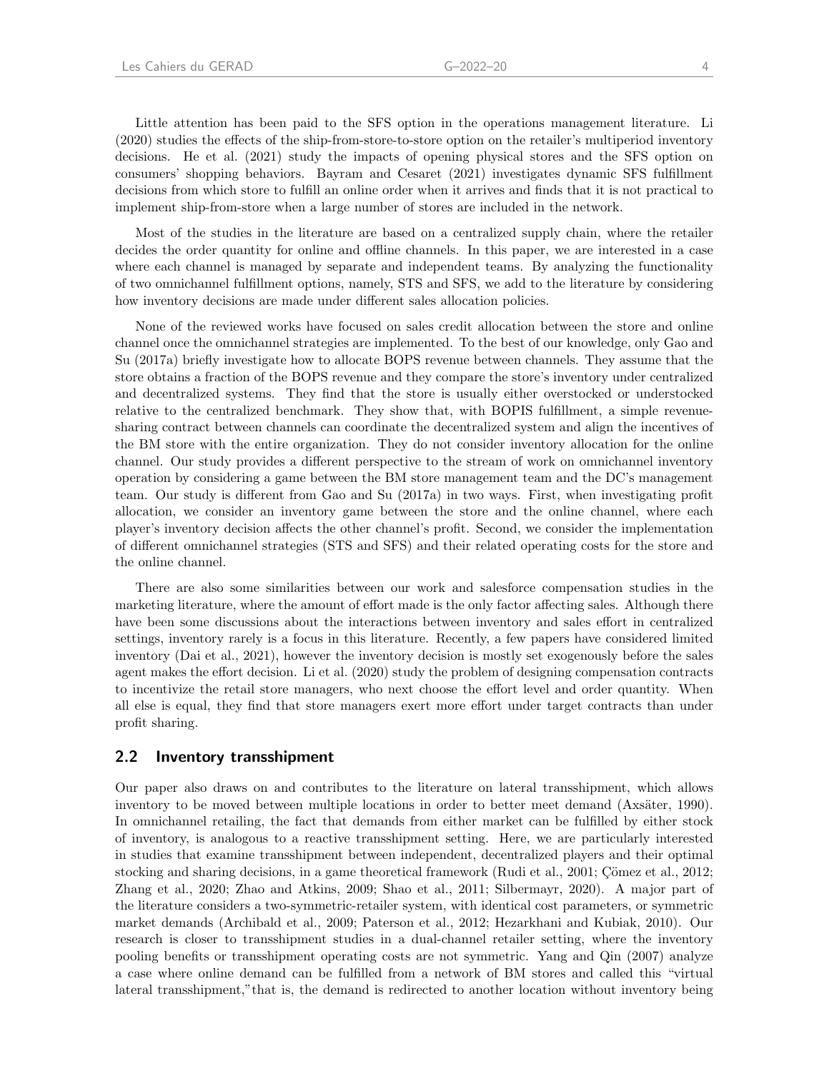Little attention has been paid to the SFS option in the operations management literature. [Li](#page-28-6) [\(2020\)](#page-28-6) studies the effects of the ship-from-store-to-store option on the retailer's multiperiod inventory decisions. [He et al.](#page-27-16) [\(2021\)](#page-27-16) study the impacts of opening physical stores and the SFS option on consumers' shopping behaviors. [Bayram and Cesaret](#page-27-17) [\(2021\)](#page-27-17) investigates dynamic SFS fulfillment decisions from which store to fulfill an online order when it arrives and finds that it is not practical to implement ship-from-store when a large number of stores are included in the network.

Most of the studies in the literature are based on a centralized supply chain, where the retailer decides the order quantity for online and offline channels. In this paper, we are interested in a case where each channel is managed by separate and independent teams. By analyzing the functionality of two omnichannel fulfillment options, namely, STS and SFS, we add to the literature by considering how inventory decisions are made under different sales allocation policies.

None of the reviewed works have focused on sales credit allocation between the store and online channel once the omnichannel strategies are implemented. To the best of our knowledge, only [Gao and](#page-27-3) [Su](#page-27-3) [\(2017a\)](#page-27-3) briefly investigate how to allocate BOPS revenue between channels. They assume that the store obtains a fraction of the BOPS revenue and they compare the store's inventory under centralized and decentralized systems. They find that the store is usually either overstocked or understocked relative to the centralized benchmark. They show that, with BOPIS fulfillment, a simple revenuesharing contract between channels can coordinate the decentralized system and align the incentives of the BM store with the entire organization. They do not consider inventory allocation for the online channel. Our study provides a different perspective to the stream of work on omnichannel inventory operation by considering a game between the BM store management team and the DC's management team. Our study is different from [Gao and Su](#page-27-3) [\(2017a\)](#page-27-3) in two ways. First, when investigating profit allocation, we consider an inventory game between the store and the online channel, where each player's inventory decision affects the other channel's profit. Second, we consider the implementation of different omnichannel strategies (STS and SFS) and their related operating costs for the store and the online channel.

There are also some similarities between our work and salesforce compensation studies in the marketing literature, where the amount of effort made is the only factor affecting sales. Although there have been some discussions about the interactions between inventory and sales effort in centralized settings, inventory rarely is a focus in this literature. Recently, a few papers have considered limited inventory [\(Dai et al.,](#page-27-18) [2021\)](#page-27-18), however the inventory decision is mostly set exogenously before the sales agent makes the effort decision. [Li et al.](#page-28-7) [\(2020\)](#page-28-7) study the problem of designing compensation contracts to incentivize the retail store managers, who next choose the effort level and order quantity. When all else is equal, they find that store managers exert more effort under target contracts than under profit sharing.

#### 2.2 Inventory transshipment

Our paper also draws on and contributes to the literature on lateral transshipment, which allows inventory to be moved between multiple locations in order to better meet demand (Axsäter, [1990\)](#page-26-1). In omnichannel retailing, the fact that demands from either market can be fulfilled by either stock of inventory, is analogous to a reactive transshipment setting. Here, we are particularly interested in studies that examine transshipment between independent, decentralized players and their optimal stocking and sharing decisions, in a game theoretical framework [\(Rudi et al.,](#page-28-8) [2001;](#page-28-8) Çömez et al., [2012;](#page-27-19) [Zhang et al.,](#page-29-1) [2020;](#page-29-1) [Zhao and Atkins,](#page-29-2) [2009;](#page-29-2) [Shao et al.,](#page-28-9) [2011;](#page-28-9) [Silbermayr,](#page-28-10) [2020\)](#page-28-10). A major part of the literature considers a two-symmetric-retailer system, with identical cost parameters, or symmetric market demands [\(Archibald et al.,](#page-26-2) [2009;](#page-26-2) [Paterson et al.,](#page-28-11) [2012;](#page-28-11) [Hezarkhani and Kubiak,](#page-28-12) [2010\)](#page-28-12). Our research is closer to transshipment studies in a dual-channel retailer setting, where the inventory pooling benefits or transshipment operating costs are not symmetric. [Yang and Qin](#page-29-3) [\(2007\)](#page-29-3) analyze a case where online demand can be fulfilled from a network of BM stores and called this "virtual lateral transshipment,"that is, the demand is redirected to another location without inventory being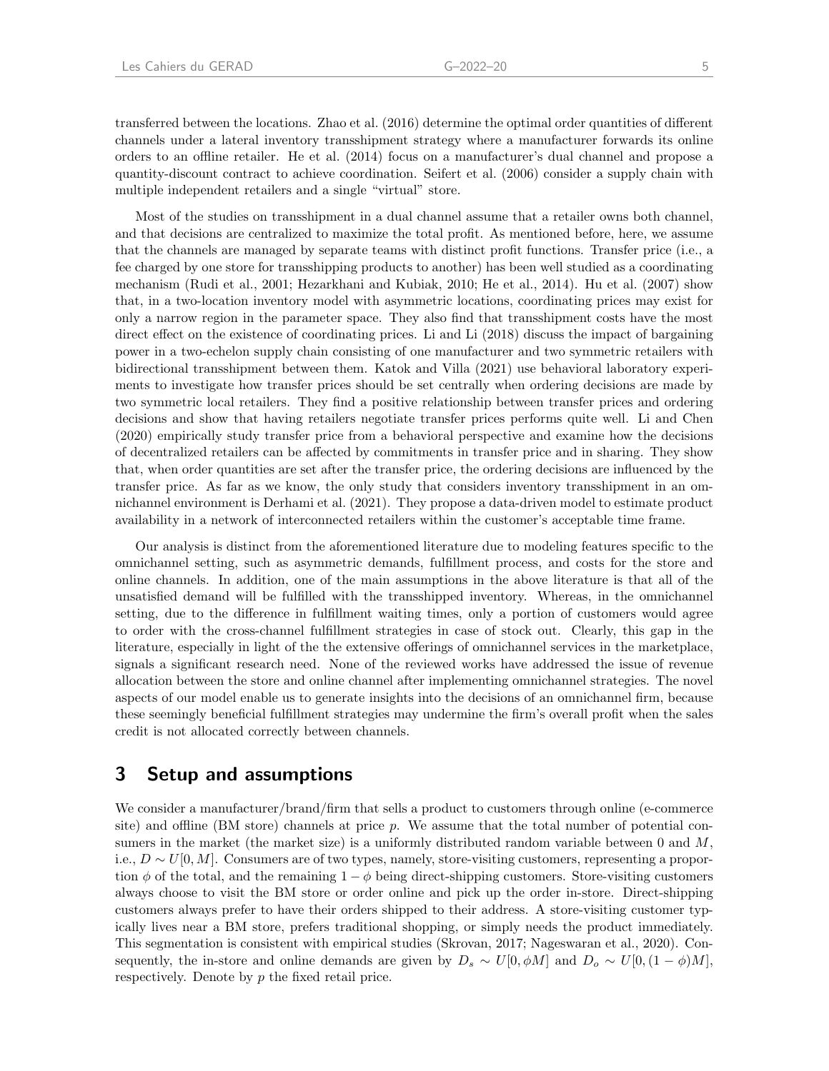transferred between the locations. [Zhao et al.](#page-29-4) [\(2016\)](#page-29-4) determine the optimal order quantities of different

channels under a lateral inventory transshipment strategy where a manufacturer forwards its online orders to an offline retailer. [He et al.](#page-27-20) [\(2014\)](#page-27-20) focus on a manufacturer's dual channel and propose a quantity-discount contract to achieve coordination. [Seifert et al.](#page-28-13) [\(2006\)](#page-28-13) consider a supply chain with multiple independent retailers and a single "virtual" store.

Most of the studies on transshipment in a dual channel assume that a retailer owns both channel, and that decisions are centralized to maximize the total profit. As mentioned before, here, we assume that the channels are managed by separate teams with distinct profit functions. Transfer price (i.e., a fee charged by one store for transshipping products to another) has been well studied as a coordinating mechanism [\(Rudi et al.,](#page-28-8) [2001;](#page-28-8) [Hezarkhani and Kubiak,](#page-28-12) [2010;](#page-28-12) [He et al.,](#page-27-20) [2014\)](#page-27-20). [Hu et al.](#page-28-14) [\(2007\)](#page-28-14) show that, in a two-location inventory model with asymmetric locations, coordinating prices may exist for only a narrow region in the parameter space. They also find that transshipment costs have the most direct effect on the existence of coordinating prices. [Li and Li](#page-28-15) [\(2018\)](#page-28-15) discuss the impact of bargaining power in a two-echelon supply chain consisting of one manufacturer and two symmetric retailers with bidirectional transshipment between them. [Katok and Villa](#page-28-16) [\(2021\)](#page-28-16) use behavioral laboratory experiments to investigate how transfer prices should be set centrally when ordering decisions are made by two symmetric local retailers. They find a positive relationship between transfer prices and ordering decisions and show that having retailers negotiate transfer prices performs quite well. [Li and Chen](#page-28-17) [\(2020\)](#page-28-17) empirically study transfer price from a behavioral perspective and examine how the decisions of decentralized retailers can be affected by commitments in transfer price and in sharing. They show that, when order quantities are set after the transfer price, the ordering decisions are influenced by the transfer price. As far as we know, the only study that considers inventory transshipment in an omnichannel environment is [Derhami et al.](#page-27-21) [\(2021\)](#page-27-21). They propose a data-driven model to estimate product availability in a network of interconnected retailers within the customer's acceptable time frame.

Our analysis is distinct from the aforementioned literature due to modeling features specific to the omnichannel setting, such as asymmetric demands, fulfillment process, and costs for the store and online channels. In addition, one of the main assumptions in the above literature is that all of the unsatisfied demand will be fulfilled with the transshipped inventory. Whereas, in the omnichannel setting, due to the difference in fulfillment waiting times, only a portion of customers would agree to order with the cross-channel fulfillment strategies in case of stock out. Clearly, this gap in the literature, especially in light of the the extensive offerings of omnichannel services in the marketplace, signals a significant research need. None of the reviewed works have addressed the issue of revenue allocation between the store and online channel after implementing omnichannel strategies. The novel aspects of our model enable us to generate insights into the decisions of an omnichannel firm, because these seemingly beneficial fulfillment strategies may undermine the firm's overall profit when the sales credit is not allocated correctly between channels.

### <span id="page-7-0"></span>3 Setup and assumptions

We consider a manufacturer/brand/firm that sells a product to customers through online (e-commerce site) and offline (BM store) channels at price p. We assume that the total number of potential consumers in the market (the market size) is a uniformly distributed random variable between 0 and  $M$ , i.e.,  $D \sim U[0, M]$ . Consumers are of two types, namely, store-visiting customers, representing a proportion  $\phi$  of the total, and the remaining  $1 - \phi$  being direct-shipping customers. Store-visiting customers always choose to visit the BM store or order online and pick up the order in-store. Direct-shipping customers always prefer to have their orders shipped to their address. A store-visiting customer typically lives near a BM store, prefers traditional shopping, or simply needs the product immediately. This segmentation is consistent with empirical studies [\(Skrovan,](#page-28-18) [2017;](#page-28-18) [Nageswaran et al.,](#page-28-19) [2020\)](#page-28-19). Consequently, the in-store and online demands are given by  $D_s \sim U[0, \phi M]$  and  $D_o \sim U[0, (1 - \phi)M]$ , respectively. Denote by p the fixed retail price.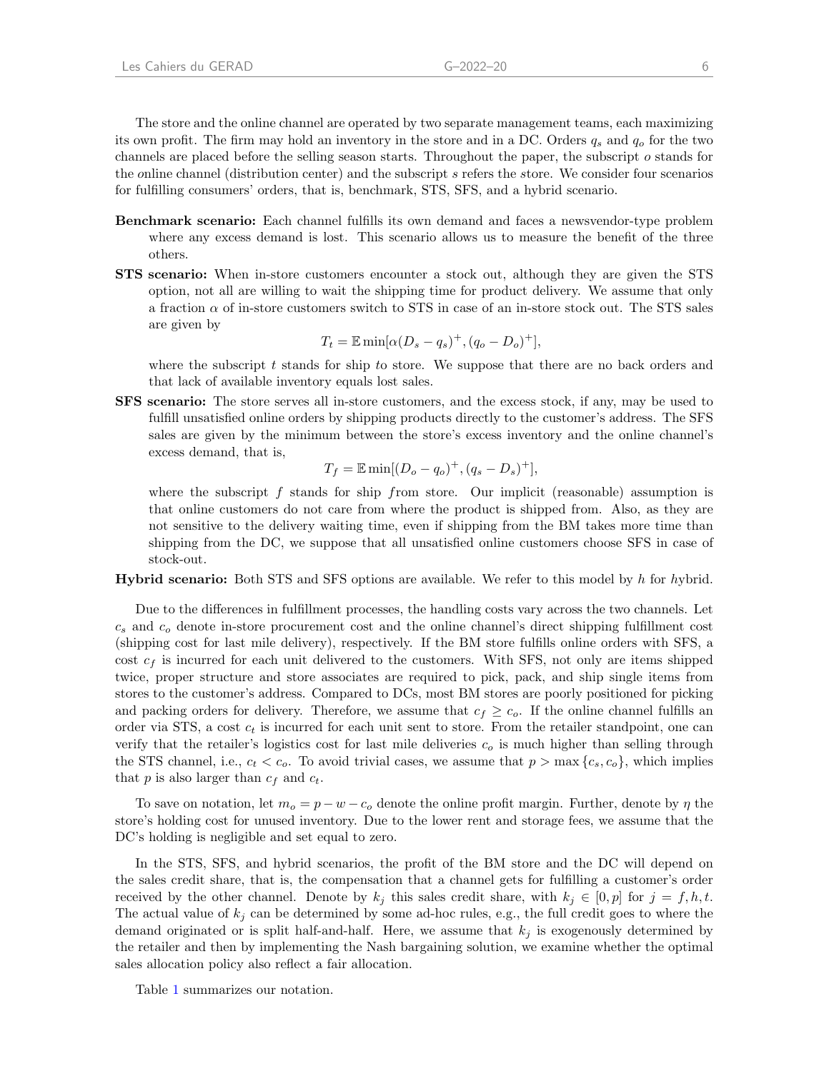The store and the online channel are operated by two separate management teams, each maximizing its own profit. The firm may hold an inventory in the store and in a DC. Orders  $q_s$  and  $q_o$  for the two channels are placed before the selling season starts. Throughout the paper, the subscript o stands for the online channel (distribution center) and the subscript s refers the store. We consider four scenarios for fulfilling consumers' orders, that is, benchmark, STS, SFS, and a hybrid scenario.

- Benchmark scenario: Each channel fulfills its own demand and faces a newsvendor-type problem where any excess demand is lost. This scenario allows us to measure the benefit of the three others.
- STS scenario: When in-store customers encounter a stock out, although they are given the STS option, not all are willing to wait the shipping time for product delivery. We assume that only a fraction  $\alpha$  of in-store customers switch to STS in case of an in-store stock out. The STS sales are given by

$$
T_t = \mathbb{E}\min[\alpha(D_s - q_s)^+, (q_o - D_o)^+],
$$

where the subscript  $t$  stands for ship to store. We suppose that there are no back orders and that lack of available inventory equals lost sales.

SFS scenario: The store serves all in-store customers, and the excess stock, if any, may be used to fulfill unsatisfied online orders by shipping products directly to the customer's address. The SFS sales are given by the minimum between the store's excess inventory and the online channel's excess demand, that is,

$$
T_f = \mathbb{E} \min[(D_o - q_o)^+, (q_s - D_s)^+],
$$

where the subscript  $f$  stands for ship from store. Our implicit (reasonable) assumption is that online customers do not care from where the product is shipped from. Also, as they are not sensitive to the delivery waiting time, even if shipping from the BM takes more time than shipping from the DC, we suppose that all unsatisfied online customers choose SFS in case of stock-out.

Hybrid scenario: Both STS and SFS options are available. We refer to this model by h for hybrid.

Due to the differences in fulfillment processes, the handling costs vary across the two channels. Let  $c_s$  and  $c_o$  denote in-store procurement cost and the online channel's direct shipping fulfillment cost (shipping cost for last mile delivery), respectively. If the BM store fulfills online orders with SFS, a cost  $c_f$  is incurred for each unit delivered to the customers. With SFS, not only are items shipped twice, proper structure and store associates are required to pick, pack, and ship single items from stores to the customer's address. Compared to DCs, most BM stores are poorly positioned for picking and packing orders for delivery. Therefore, we assume that  $c_f \geq c_o$ . If the online channel fulfills an order via STS, a cost  $c_t$  is incurred for each unit sent to store. From the retailer standpoint, one can verify that the retailer's logistics cost for last mile deliveries  $c<sub>o</sub>$  is much higher than selling through the STS channel, i.e.,  $c_t < c_o$ . To avoid trivial cases, we assume that  $p > \max\{c_s, c_o\}$ , which implies that p is also larger than  $c_f$  and  $c_t$ .

To save on notation, let  $m_o = p - w - c_o$  denote the online profit margin. Further, denote by  $\eta$  the store's holding cost for unused inventory. Due to the lower rent and storage fees, we assume that the DC's holding is negligible and set equal to zero.

In the STS, SFS, and hybrid scenarios, the profit of the BM store and the DC will depend on the sales credit share, that is, the compensation that a channel gets for fulfilling a customer's order received by the other channel. Denote by  $k_j$  this sales credit share, with  $k_j \in [0, p]$  for  $j = f, h, t$ . The actual value of  $k_j$  can be determined by some ad-hoc rules, e.g., the full credit goes to where the demand originated or is split half-and-half. Here, we assume that  $k_i$  is exogenously determined by the retailer and then by implementing the Nash bargaining solution, we examine whether the optimal sales allocation policy also reflect a fair allocation.

Table [1](#page-9-1) summarizes our notation.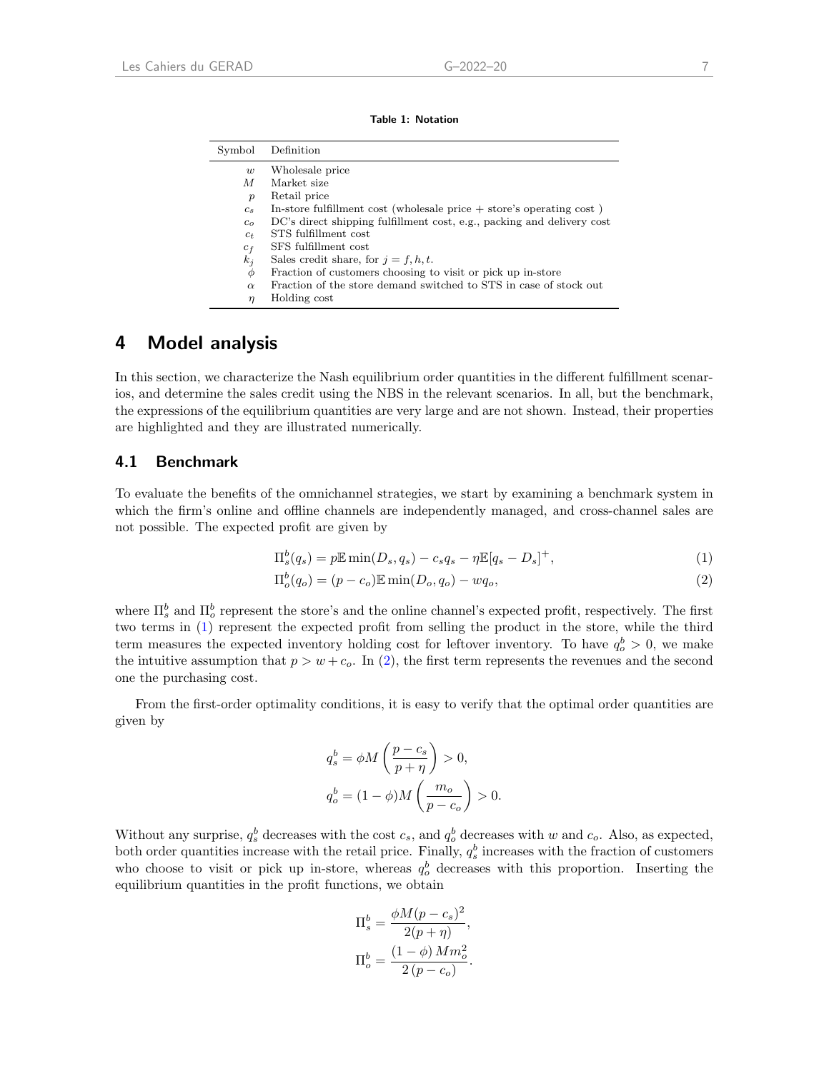Table 1: Notation

<span id="page-9-1"></span>

| Symbol           | Definition                                                             |
|------------------|------------------------------------------------------------------------|
| w                | Wholesale price                                                        |
| M                | Market size                                                            |
| $\boldsymbol{p}$ | Retail price                                                           |
| $c_s$            | In-store fulfillment cost (wholesale price $+$ store's operating cost) |
| $c_{\alpha}$     | DC's direct shipping fulfillment cost, e.g., packing and delivery cost |
| $c_t$            | STS fulfillment cost                                                   |
| $c_f$            | SFS fulfillment cost                                                   |
| $k_i$            | Sales credit share, for $j = f, h, t$ .                                |
| Φ                | Fraction of customers choosing to visit or pick up in-store            |
| $\alpha$         | Fraction of the store demand switched to STS in case of stock out      |
| $\eta$           | Holding cost                                                           |

### <span id="page-9-0"></span>4 Model analysis

In this section, we characterize the Nash equilibrium order quantities in the different fulfillment scenarios, and determine the sales credit using the NBS in the relevant scenarios. In all, but the benchmark, the expressions of the equilibrium quantities are very large and are not shown. Instead, their properties are highlighted and they are illustrated numerically.

### 4.1 Benchmark

To evaluate the benefits of the omnichannel strategies, we start by examining a benchmark system in which the firm's online and offline channels are independently managed, and cross-channel sales are not possible. The expected profit are given by

<span id="page-9-2"></span>
$$
\Pi_s^b(q_s) = p \mathbb{E} \min(D_s, q_s) - c_s q_s - \eta \mathbb{E}[q_s - D_s]^+, \tag{1}
$$

$$
\Pi_o^b(q_o) = (p - c_o) \mathbb{E} \min(D_o, q_o) - wq_o,
$$
\n
$$
(2)
$$

where  $\Pi_s^b$  and  $\Pi_o^b$  represent the store's and the online channel's expected profit, respectively. The first two terms in [\(1\)](#page-9-2) represent the expected profit from selling the product in the store, while the third term measures the expected inventory holding cost for leftover inventory. To have  $q_o^b > 0$ , we make the intuitive assumption that  $p > w + c_0$ . In [\(2\)](#page-9-3), the first term represents the revenues and the second one the purchasing cost.

From the first-order optimality conditions, it is easy to verify that the optimal order quantities are given by

<span id="page-9-3"></span>
$$
q_s^b = \phi M \left( \frac{p - c_s}{p + \eta} \right) > 0,
$$
  

$$
q_o^b = (1 - \phi) M \left( \frac{m_o}{p - c_o} \right) > 0.
$$

Without any surprise,  $q_s^b$  decreases with the cost  $c_s$ , and  $q_o^b$  decreases with w and  $c_o$ . Also, as expected, both order quantities increase with the retail price. Finally,  $q_s^b$  increases with the fraction of customers who choose to visit or pick up in-store, whereas  $q_o^b$  decreases with this proportion. Inserting the equilibrium quantities in the profit functions, we obtain

$$
\Pi_s^b = \frac{\phi M (p-c_s)^2}{2(p+\eta)},
$$
  

$$
\Pi_o^b = \frac{(1-\phi) M m_o^2}{2(p-c_o)}.
$$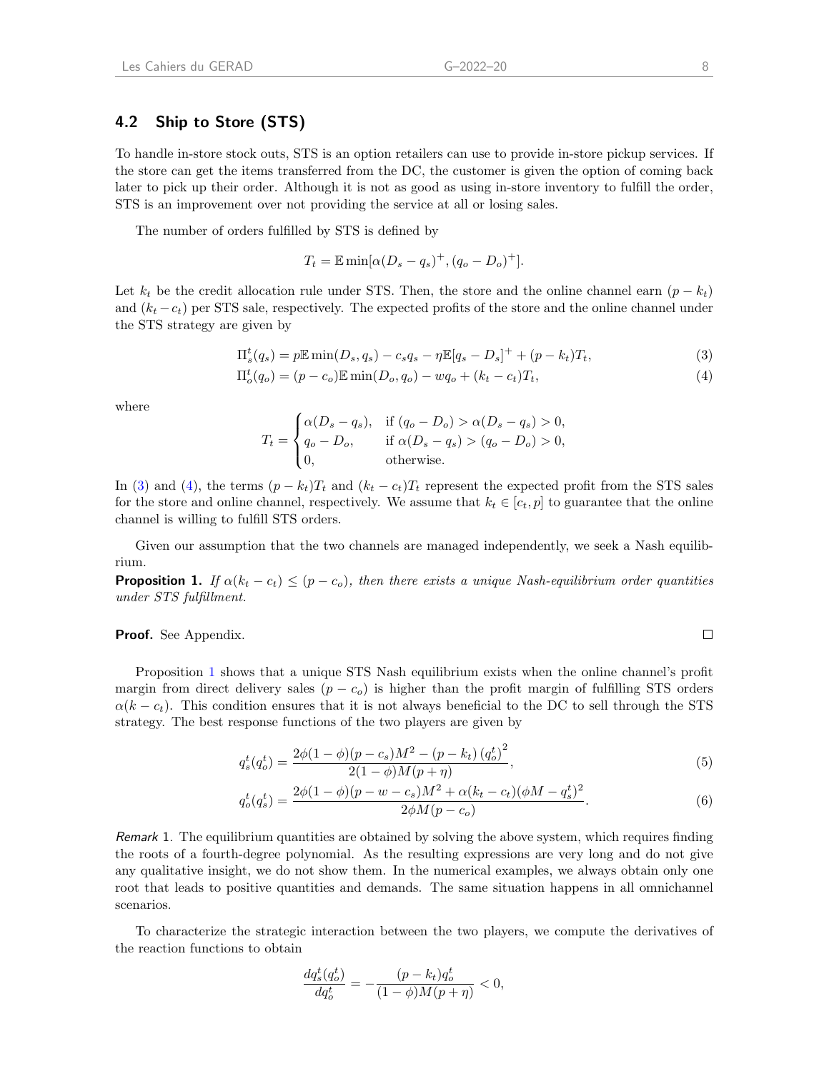### 4.2 Ship to Store (STS)

To handle in-store stock outs, STS is an option retailers can use to provide in-store pickup services. If the store can get the items transferred from the DC, the customer is given the option of coming back later to pick up their order. Although it is not as good as using in-store inventory to fulfill the order, STS is an improvement over not providing the service at all or losing sales.

The number of orders fulfilled by STS is defined by

<span id="page-10-1"></span><span id="page-10-0"></span>
$$
T_t = \mathbb{E} \min[\alpha (D_s - q_s)^+, (q_o - D_o)^+].
$$

Let  $k_t$  be the credit allocation rule under STS. Then, the store and the online channel earn  $(p - k_t)$ and  $(k_t - c_t)$  per STS sale, respectively. The expected profits of the store and the online channel under the STS strategy are given by

$$
\Pi_s^t(q_s) = p \mathbb{E} \min(D_s, q_s) - c_s q_s - \eta \mathbb{E}[q_s - D_s]^+ + (p - k_t) T_t,
$$
\n(3)  
\n
$$
\Pi_o^t(q_o) = (p - c_o) \mathbb{E} \min(D_o, q_o) - w q_o + (k_t - c_t) T_t,
$$
\n(4)

where

$$
T_t = \begin{cases} \alpha(D_s - q_s), & \text{if } (q_o - D_o) > \alpha(D_s - q_s) > 0, \\ q_o - D_o, & \text{if } \alpha(D_s - q_s) > (q_o - D_o) > 0, \\ 0, & \text{otherwise.} \end{cases}
$$

In [\(3\)](#page-10-0) and [\(4\)](#page-10-1), the terms  $(p - k_t)T_t$  and  $(k_t - c_t)T_t$  represent the expected profit from the STS sales for the store and online channel, respectively. We assume that  $k_t \in [c_t, p]$  to guarantee that the online channel is willing to fulfill STS orders.

Given our assumption that the two channels are managed independently, we seek a Nash equilibrium.

<span id="page-10-2"></span>**Proposition 1.** If  $\alpha(k_t - c_t) \leq (p - c_o)$ , then there exists a unique Nash-equilibrium order quantities under STS fulfillment.

#### Proof. See Appendix.

Proposition [1](#page-10-2) shows that a unique STS Nash equilibrium exists when the online channel's profit margin from direct delivery sales  $(p - c<sub>o</sub>)$  is higher than the profit margin of fulfilling STS orders  $\alpha(k - c_t)$ . This condition ensures that it is not always beneficial to the DC to sell through the STS strategy. The best response functions of the two players are given by

$$
q_s^t(q_o^t) = \frac{2\phi(1-\phi)(p-c_s)M^2 - (p-k_t)(q_o^t)^2}{2(1-\phi)M(p+\eta)},
$$
\n(5)

$$
q_o^t(q_s^t) = \frac{2\phi(1-\phi)(p-w-c_s)M^2 + \alpha(k_t-c_t)(\phi M - q_s^t)^2}{2\phi M(p-c_o)}.
$$
\n(6)

Remark 1. The equilibrium quantities are obtained by solving the above system, which requires finding the roots of a fourth-degree polynomial. As the resulting expressions are very long and do not give any qualitative insight, we do not show them. In the numerical examples, we always obtain only one root that leads to positive quantities and demands. The same situation happens in all omnichannel scenarios.

To characterize the strategic interaction between the two players, we compute the derivatives of the reaction functions to obtain

<span id="page-10-4"></span><span id="page-10-3"></span>
$$
\frac{dq_s^t(q_o^t)}{dq_o^t} = -\frac{(p - k_t)q_o^t}{(1 - \phi)M(p + \eta)} < 0,
$$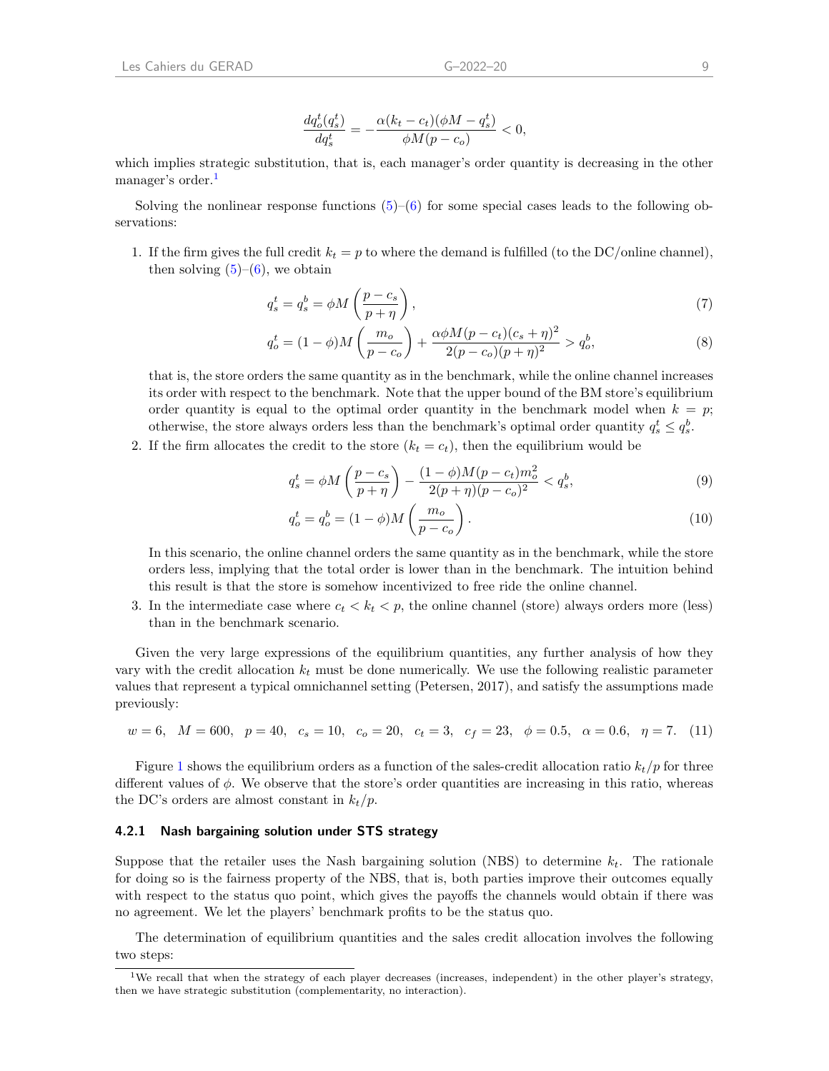which implies strategic substitution, that is, each manager's order quantity is decreasing in the other manager's order.<sup>[1](#page-11-0)</sup>

Solving the nonlinear response functions  $(5)$ – $(6)$  for some special cases leads to the following observations:

1. If the firm gives the full credit  $k_t = p$  to where the demand is fulfilled (to the DC/online channel), then solving  $(5)-(6)$  $(5)-(6)$  $(5)-(6)$ , we obtain

<span id="page-11-2"></span>
$$
q_s^t = q_s^b = \phi M \left(\frac{p - c_s}{p + \eta}\right),\tag{7}
$$

$$
q_o^t = (1 - \phi)M\left(\frac{m_o}{p - c_o}\right) + \frac{\alpha\phi M(p - c_t)(c_s + \eta)^2}{2(p - c_o)(p + \eta)^2} > q_o^b,
$$
\n(8)

that is, the store orders the same quantity as in the benchmark, while the online channel increases its order with respect to the benchmark. Note that the upper bound of the BM store's equilibrium order quantity is equal to the optimal order quantity in the benchmark model when  $k = p$ ; otherwise, the store always orders less than the benchmark's optimal order quantity  $q_s^t \le q_s^b$ .

2. If the firm allocates the credit to the store  $(k_t = c_t)$ , then the equilibrium would be

$$
q_s^t = \phi M \left(\frac{p - c_s}{p + \eta}\right) - \frac{(1 - \phi)M(p - c_t)m_o^2}{2(p + \eta)(p - c_o)^2} < q_s^b,\tag{9}
$$

$$
q_o^t = q_o^b = (1 - \phi)M\left(\frac{m_o}{p - c_o}\right). \tag{10}
$$

In this scenario, the online channel orders the same quantity as in the benchmark, while the store orders less, implying that the total order is lower than in the benchmark. The intuition behind this result is that the store is somehow incentivized to free ride the online channel.

3. In the intermediate case where  $c_t < k_t < p$ , the online channel (store) always orders more (less) than in the benchmark scenario.

Given the very large expressions of the equilibrium quantities, any further analysis of how they vary with the credit allocation  $k_t$  must be done numerically. We use the following realistic parameter values that represent a typical omnichannel setting [\(Petersen,](#page-28-20) [2017\)](#page-28-20), and satisfy the assumptions made previously:

<span id="page-11-1"></span>
$$
w = 6
$$
,  $M = 600$ ,  $p = 40$ ,  $c_s = 10$ ,  $c_o = 20$ ,  $c_t = 3$ ,  $c_f = 23$ ,  $\phi = 0.5$ ,  $\alpha = 0.6$ ,  $\eta = 7$ . (11)

Figure [1](#page-12-0) shows the equilibrium orders as a function of the sales-credit allocation ratio  $k_t/p$  for three different values of  $\phi$ . We observe that the store's order quantities are increasing in this ratio, whereas the DC's orders are almost constant in  $k_t/p$ .

#### 4.2.1 Nash bargaining solution under STS strategy

Suppose that the retailer uses the Nash bargaining solution (NBS) to determine  $k_t$ . The rationale for doing so is the fairness property of the NBS, that is, both parties improve their outcomes equally with respect to the status quo point, which gives the payoffs the channels would obtain if there was no agreement. We let the players' benchmark profits to be the status quo.

The determination of equilibrium quantities and the sales credit allocation involves the following two steps:

<span id="page-11-0"></span><sup>&</sup>lt;sup>1</sup>We recall that when the strategy of each player decreases (increases, independent) in the other player's strategy, then we have strategic substitution (complementarity, no interaction).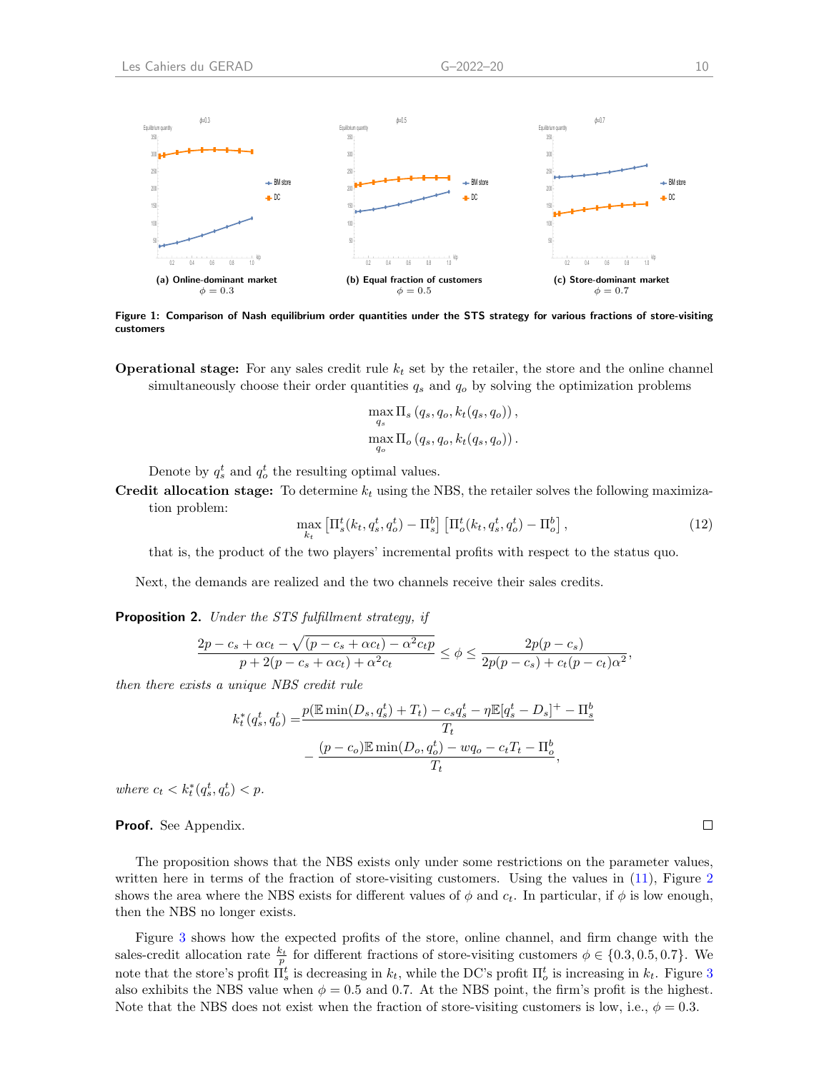<span id="page-12-0"></span>

Figure 1: Comparison of Nash equilibrium order quantities under the STS strategy for various fractions of store-visiting customers

**Operational stage:** For any sales credit rule  $k_t$  set by the retailer, the store and the online channel simultaneously choose their order quantities  $q_s$  and  $q_o$  by solving the optimization problems

$$
\max_{q_s} \Pi_s (q_s, q_o, k_t(q_s, q_o)),
$$
  

$$
\max_{q_o} \Pi_o (q_s, q_o, k_t(q_s, q_o)).
$$

Denote by  $q_s^t$  and  $q_o^t$  the resulting optimal values.

Credit allocation stage: To determine  $k_t$  using the NBS, the retailer solves the following maximization problem:

> $\max_{k_t} \left[ \Pi_s^t(k_t, q_s^t, q_o^t) - \Pi_s^b \right] \left[ \Pi_o^t(k_t, q_s^t, q_o^t) - \Pi_o^b \right]$  $(12)$

that is, the product of the two players' incremental profits with respect to the status quo.

Next, the demands are realized and the two channels receive their sales credits.

<span id="page-12-1"></span>Proposition 2. Under the STS fulfillment strategy, if

$$
\frac{2p-c_s+\alpha c_t-\sqrt{(p-c_s+\alpha c_t)-\alpha^2 c_t p}}{p+2(p-c_s+\alpha c_t)+\alpha^2 c_t} \leq \phi \leq \frac{2p(p-c_s)}{2p(p-c_s)+c_t(p-c_t)\alpha^2},
$$

then there exists a unique NBS credit rule

$$
k_t^*(q_s^t, q_o^t) = \frac{p(\mathbb{E}\min(D_s, q_s^t) + T_t) - c_s q_s^t - \eta \mathbb{E}[q_s^t - D_s]^+ - \Pi_s^b}{T_t} - \frac{(p - c_o)\mathbb{E}\min(D_o, q_o^t) - wq_o - c_t T_t - \Pi_o^b}{T_t},
$$

where  $c_t < k_t^*(q_s^t, q_o^t) < p$ .

Proof. See Appendix.

The proposition shows that the NBS exists only under some restrictions on the parameter values, written here in terms of the fraction of store-visiting customers. Using the values in  $(11)$ , Figure [2](#page-13-0) shows the area where the NBS exists for different values of  $\phi$  and  $c_t$ . In particular, if  $\phi$  is low enough, then the NBS no longer exists.

Figure [3](#page-13-1) shows how the expected profits of the store, online channel, and firm change with the sales-credit allocation rate  $\frac{k_t}{p}$  for different fractions of store-visiting customers  $\phi \in \{0.3, 0.5, 0.7\}$ . We note that the store's profit  $\Pi_s^t$  is decreasing in  $k_t$ , while the DC's profit  $\Pi_o^t$  is increasing in  $k_t$ . Figure [3](#page-13-1) also exhibits the NBS value when  $\phi = 0.5$  and 0.7. At the NBS point, the firm's profit is the highest. Note that the NBS does not exist when the fraction of store-visiting customers is low, i.e.,  $\phi = 0.3$ .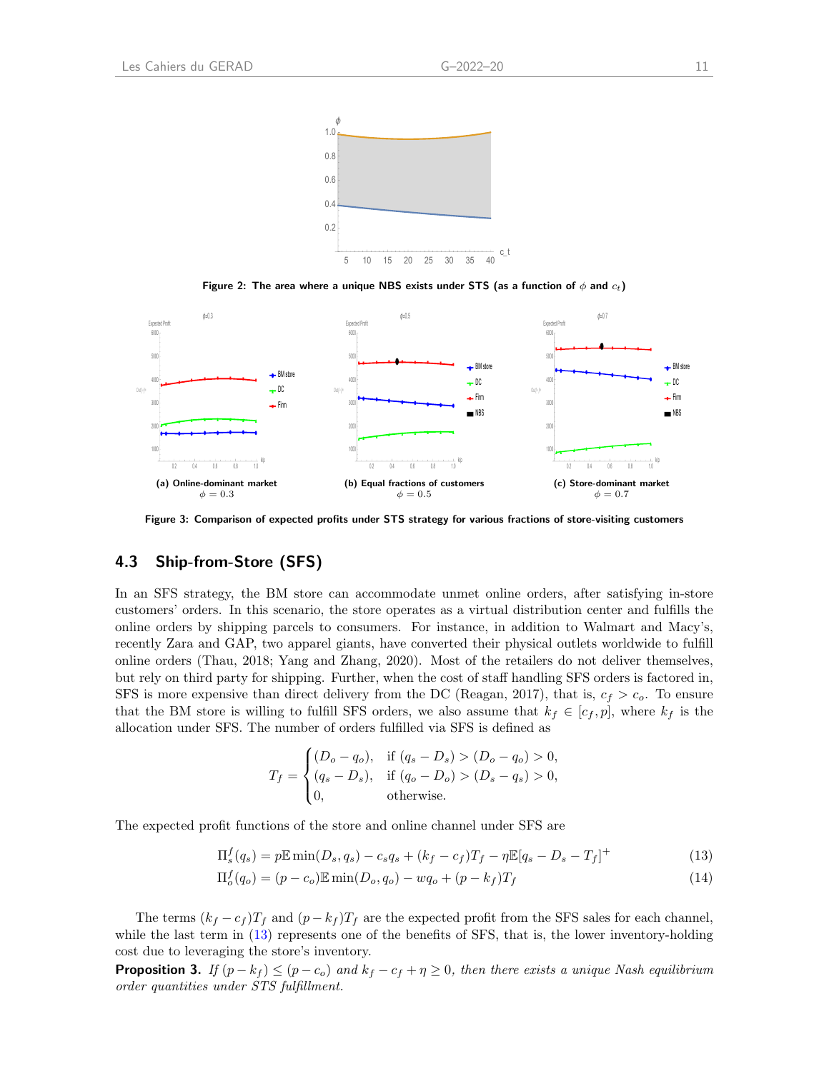<span id="page-13-0"></span>

Figure 2: The area where a unique NBS exists under STS (as a function of  $\phi$  and  $c_t$ )

<span id="page-13-1"></span>

Figure 3: Comparison of expected profits under STS strategy for various fractions of store-visiting customers

### 4.3 Ship-from-Store (SFS)

In an SFS strategy, the BM store can accommodate unmet online orders, after satisfying in-store customers' orders. In this scenario, the store operates as a virtual distribution center and fulfills the online orders by shipping parcels to consumers. For instance, in addition to Walmart and Macy's, recently Zara and GAP, two apparel giants, have converted their physical outlets worldwide to fulfill online orders [\(Thau,](#page-28-21) [2018;](#page-28-21) [Yang and Zhang,](#page-29-5) [2020\)](#page-29-5). Most of the retailers do not deliver themselves, but rely on third party for shipping. Further, when the cost of staff handling SFS orders is factored in, SFS is more expensive than direct delivery from the DC [\(Reagan,](#page-28-22) [2017\)](#page-28-22), that is,  $c_f > c_o$ . To ensure that the BM store is willing to fulfill SFS orders, we also assume that  $k_f \in [c_f, p]$ , where  $k_f$  is the allocation under SFS. The number of orders fulfilled via SFS is defined as

<span id="page-13-2"></span>
$$
T_f = \begin{cases} (D_o - q_o), & \text{if } (q_s - D_s) > (D_o - q_o) > 0, \\ (q_s - D_s), & \text{if } (q_o - D_o) > (D_s - q_s) > 0, \\ 0, & \text{otherwise.} \end{cases}
$$

The expected profit functions of the store and online channel under SFS are

$$
\Pi_s^f(q_s) = p \mathbb{E} \min(D_s, q_s) - c_s q_s + (k_f - c_f) T_f - \eta \mathbb{E}[q_s - D_s - T_f]^+ \tag{13}
$$

$$
\Pi_o^f(q_o) = (p - c_o) \mathbb{E} \min(D_o, q_o) - wq_o + (p - k_f)T_f
$$
\n(14)

The terms  $(k_f - c_f)T_f$  and  $(p - k_f)T_f$  are the expected profit from the SFS sales for each channel, while the last term in [\(13\)](#page-13-2) represents one of the benefits of SFS, that is, the lower inventory-holding cost due to leveraging the store's inventory.

<span id="page-13-3"></span>**Proposition 3.** If  $(p - k_f) \le (p - c_o)$  and  $k_f - c_f + \eta \ge 0$ , then there exists a unique Nash equilibrium order quantities under STS fulfillment.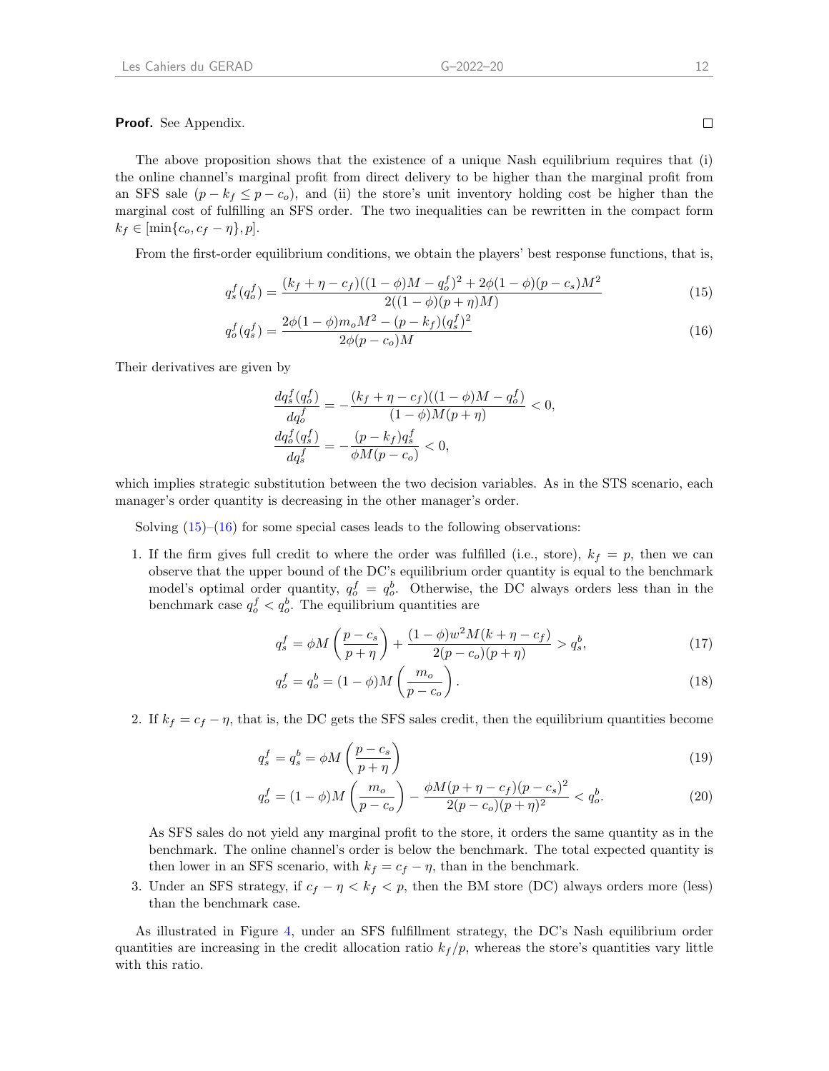Proof. See Appendix.

The above proposition shows that the existence of a unique Nash equilibrium requires that (i) the online channel's marginal profit from direct delivery to be higher than the marginal profit from an SFS sale  $(p - k_f \leq p - c_o)$ , and (ii) the store's unit inventory holding cost be higher than the marginal cost of fulfilling an SFS order. The two inequalities can be rewritten in the compact form  $k_f \in [\min\{c_o, c_f - \eta\}, p].$ 

From the first-order equilibrium conditions, we obtain the players' best response functions, that is,

$$
q_s^f(q_o^f) = \frac{(k_f + \eta - c_f)((1 - \phi)M - q_o^f)^2 + 2\phi(1 - \phi)(p - c_s)M^2}{2((1 - \phi)(p + \eta)M)}
$$
(15)

$$
q_o^f(q_s^f) = \frac{2\phi(1-\phi)m_oM^2 - (p-k_f)(q_s^f)^2}{2\phi(p-c_o)M}
$$
\n(16)

Their derivatives are given by

<span id="page-14-1"></span><span id="page-14-0"></span>
$$
\begin{aligned} \frac{d q_s^f(q_o^f)}{d q_o^f}&=-\frac{(k_f+\eta-c_f)((1-\phi)M-q_o^f)}{(1-\phi)M(p+\eta)}<0,\\ \frac{d q_o^f(q_s^f)}{d q_s^f}&=-\frac{(p-k_f)q_s^f}{\phi M(p-c_o)}<0, \end{aligned}
$$

which implies strategic substitution between the two decision variables. As in the STS scenario, each manager's order quantity is decreasing in the other manager's order.

Solving  $(15)$ – $(16)$  for some special cases leads to the following observations:

1. If the firm gives full credit to where the order was fulfilled (i.e., store),  $k_f = p$ , then we can observe that the upper bound of the DC's equilibrium order quantity is equal to the benchmark model's optimal order quantity,  $q_o^f = q_o^b$ . Otherwise, the DC always orders less than in the benchmark case  $q_o^f < q_o^b$ . The equilibrium quantities are

$$
q_s^f = \phi M \left( \frac{p - c_s}{p + \eta} \right) + \frac{(1 - \phi) w^2 M (k + \eta - c_f)}{2(p - c_o)(p + \eta)} > q_s^b,
$$
\n(17)

<span id="page-14-2"></span>
$$
q_o^f = q_o^b = (1 - \phi)M\left(\frac{m_o}{p - c_o}\right). \tag{18}
$$

2. If  $k_f = c_f - \eta$ , that is, the DC gets the SFS sales credit, then the equilibrium quantities become

$$
q_s^f = q_s^b = \phi M \left(\frac{p - c_s}{p + \eta}\right) \tag{19}
$$

$$
q_o^f = (1 - \phi)M\left(\frac{m_o}{p - c_o}\right) - \frac{\phi M(p + \eta - c_f)(p - c_s)^2}{2(p - c_o)(p + \eta)^2} < q_o^b. \tag{20}
$$

As SFS sales do not yield any marginal profit to the store, it orders the same quantity as in the benchmark. The online channel's order is below the benchmark. The total expected quantity is then lower in an SFS scenario, with  $k_f = c_f - \eta$ , than in the benchmark.

3. Under an SFS strategy, if  $c_f - \eta < k_f < p$ , then the BM store (DC) always orders more (less) than the benchmark case.

As illustrated in Figure [4,](#page-15-0) under an SFS fulfillment strategy, the DC's Nash equilibrium order quantities are increasing in the credit allocation ratio  $k_f / p$ , whereas the store's quantities vary little with this ratio.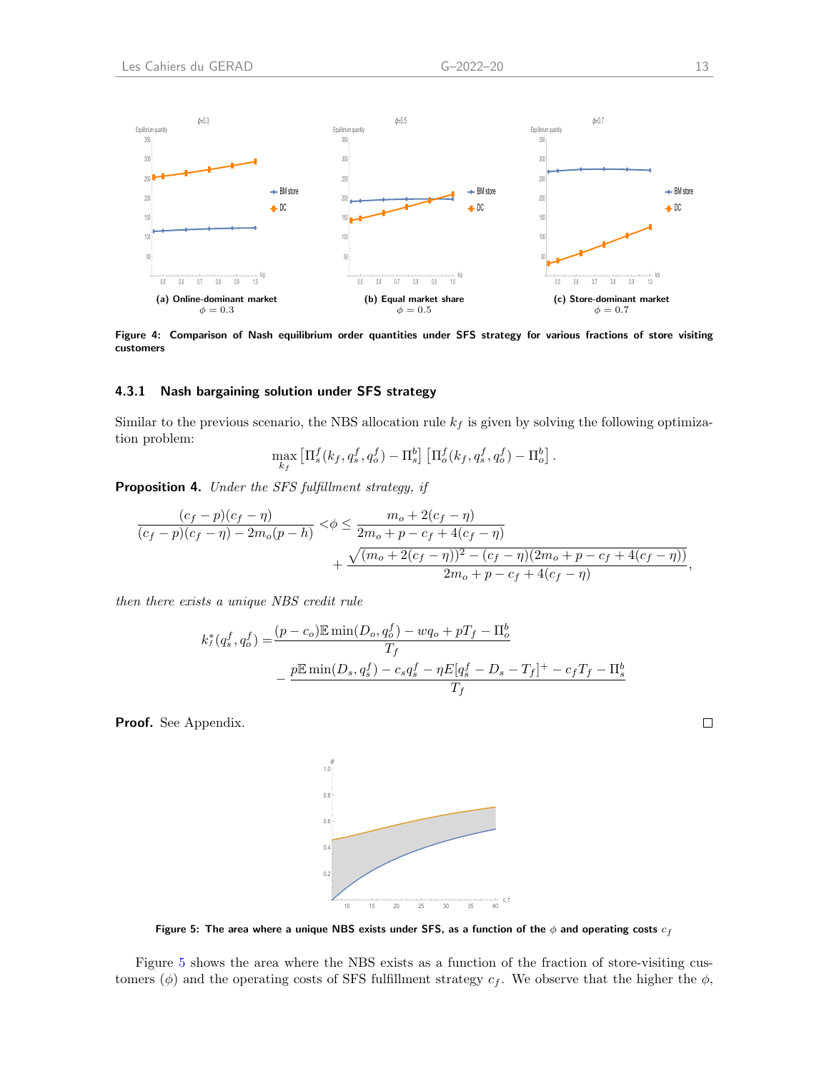<span id="page-15-0"></span>

Figure 4: Comparison of Nash equilibrium order quantities under SFS strategy for various fractions of store visiting customers

#### 4.3.1 Nash bargaining solution under SFS strategy

Similar to the previous scenario, the NBS allocation rule  $k_f$  is given by solving the following optimization problem:

$$
\max_{k_f} \left[ \Pi_s^f(k_f, q_s^f, q_o^f) - \Pi_s^b \right] \left[ \Pi_o^f(k_f, q_s^f, q_o^f) - \Pi_o^b \right].
$$

<span id="page-15-2"></span>Proposition 4. Under the SFS fulfillment strategy, if

$$
\frac{(c_f-p)(c_f-\eta)}{(c_f-p)(c_f-\eta)-2m_o(p-h)} < \phi \le \frac{m_o+2(c_f-\eta)}{2m_o+p-c_f+4(c_f-\eta)} + \frac{\sqrt{(m_o+2(c_f-\eta))^2-(c_f-\eta)(2m_o+p-c_f+4(c_f-\eta))}}{2m_o+p-c_f+4(c_f-\eta)},
$$

then there exists a unique NBS credit rule

$$
k_f^*(q_s^f, q_o^f) = \frac{(p - c_o)\mathbb{E}\min(D_o, q_o^f) - wq_o + pT_f - \Pi_o^b}{T_f}
$$
  
 
$$
- \frac{p\mathbb{E}\min(D_s, q_s^f) - c_s q_s^f - pF[q_s^f - D_s - T_f]^+ - c_f T_f - \Pi_s^b}{T_f}
$$

<span id="page-15-1"></span>Proof. See Appendix.



Figure 5: The area where a unique NBS exists under SFS, as a function of the  $\phi$  and operating costs  $c_f$ 

Figure [5](#page-15-1) shows the area where the NBS exists as a function of the fraction of store-visiting customers ( $\phi$ ) and the operating costs of SFS fulfillment strategy  $c_f$ . We observe that the higher the  $\phi$ ,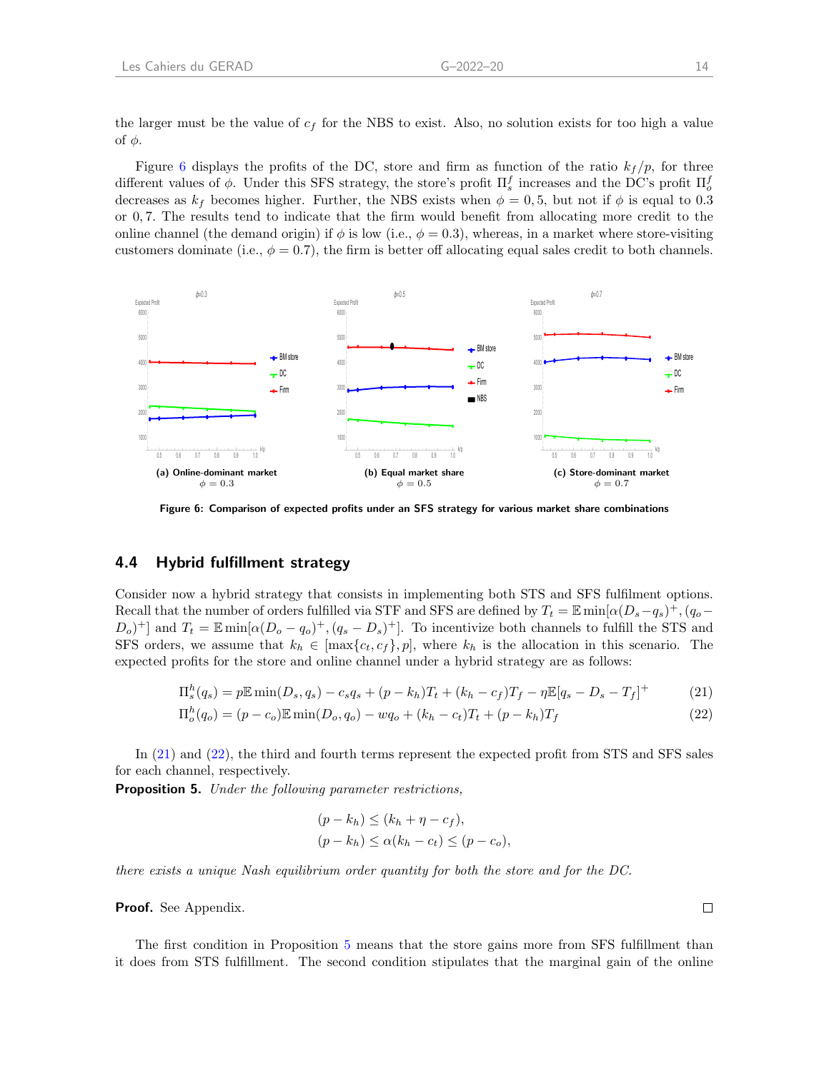the larger must be the value of  $c_f$  for the NBS to exist. Also, no solution exists for too high a value of  $φ$ .

Figure [6](#page-16-0) displays the profits of the DC, store and firm as function of the ratio  $k_f / p$ , for three different values of  $\phi$ . Under this SFS strategy, the store's profit  $\Pi_s^f$  increases and the DC's profit  $\Pi_o^f$ decreases as  $k_f$  becomes higher. Further, the NBS exists when  $\phi = 0.5$ , but not if  $\phi$  is equal to 0.3 or 0, 7. The results tend to indicate that the firm would benefit from allocating more credit to the online channel (the demand origin) if  $\phi$  is low (i.e.,  $\phi = 0.3$ ), whereas, in a market where store-visiting customers dominate (i.e.,  $\phi = 0.7$ ), the firm is better off allocating equal sales credit to both channels.

<span id="page-16-0"></span>

Figure 6: Comparison of expected profits under an SFS strategy for various market share combinations

#### 4.4 Hybrid fulfillment strategy

Consider now a hybrid strategy that consists in implementing both STS and SFS fulfilment options. Recall that the number of orders fulfilled via STF and SFS are defined by  $T_t = \mathbb{E} \min[\alpha(D_s-q_s)^+, (q_o-\alpha_s)^+]$  $(D_o)^+$ ] and  $T_t = \mathbb{E} \min[\alpha (D_o - q_o)^+, (q_s - D_s)^+]$ . To incentivize both channels to fulfill the STS and SFS orders, we assume that  $k_h \in [\max\{c_t, c_f\}, p]$ , where  $k_h$  is the allocation in this scenario. The expected profits for the store and online channel under a hybrid strategy are as follows:

$$
\Pi_s^h(q_s) = p \mathbb{E} \min(D_s, q_s) - c_s q_s + (p - k_h) T_t + (k_h - c_f) T_f - \eta \mathbb{E}[q_s - D_s - T_f]^+ \tag{21}
$$

$$
\Pi_o^h(q_o) = (p - c_o) \mathbb{E} \min(D_o, q_o) - wq_o + (k_h - c_t)T_t + (p - k_h)T_f \tag{22}
$$

In [\(21\)](#page-16-1) and [\(22\)](#page-16-2), the third and fourth terms represent the expected profit from STS and SFS sales for each channel, respectively.

<span id="page-16-3"></span>Proposition 5. Under the following parameter restrictions,

<span id="page-16-2"></span><span id="page-16-1"></span>
$$
(p - kh) \le (kh + \eta - cf),
$$
  
\n
$$
(p - kh) \le \alpha (kh - ct) \le (p - co),
$$

there exists a unique Nash equilibrium order quantity for both the store and for the DC.

Proof. See Appendix.

The first condition in Proposition [5](#page-16-3) means that the store gains more from SFS fulfillment than it does from STS fulfillment. The second condition stipulates that the marginal gain of the online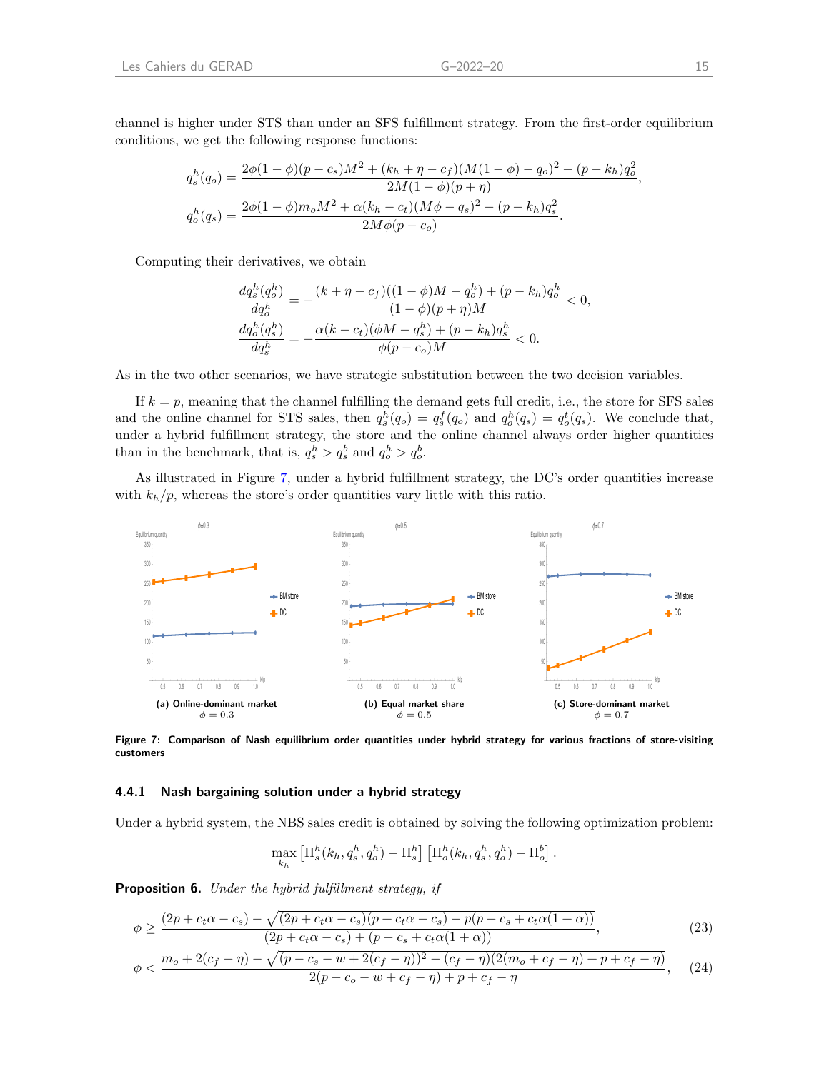channel is higher under STS than under an SFS fulfillment strategy. From the first-order equilibrium conditions, we get the following response functions:

$$
q_s^h(q_o) = \frac{2\phi(1-\phi)(p-c_s)M^2 + (k_h + \eta - c_f)(M(1-\phi) - q_o)^2 - (p-k_h)q_o^2}{2M(1-\phi)(p+\eta)},
$$
  

$$
q_o^h(q_s) = \frac{2\phi(1-\phi)m_oM^2 + \alpha(k_h - c_t)(M\phi - q_s)^2 - (p-k_h)q_s^2}{2M\phi(p-c_o)}.
$$

Computing their derivatives, we obtain

$$
\begin{aligned} \frac{d q^h_s(q_o^h)}{d q_o^h} &= -\frac{(k+\eta-c_f)((1-\phi)M-q_o^h)+(p-k_h)q_o^h}{(1-\phi)(p+\eta)M} < 0, \\ \frac{d q_o^h(q_s^h)}{d q_s^h} &= -\frac{\alpha (k-c_t)(\phi M-q_s^h)+(p-k_h)q_s^h}{\phi(p-c_o)M} < 0. \end{aligned}
$$

As in the two other scenarios, we have strategic substitution between the two decision variables.

If  $k = p$ , meaning that the channel fulfilling the demand gets full credit, i.e., the store for SFS sales and the online channel for STS sales, then  $q_s^h(q_o) = q_s^f(q_o)$  and  $q_o^h(q_s) = q_o^t(q_s)$ . We conclude that, under a hybrid fulfillment strategy, the store and the online channel always order higher quantities than in the benchmark, that is,  $q_s^h > q_s^b$  and  $q_o^h > q_o^b$ .

As illustrated in Figure [7,](#page-17-0) under a hybrid fulfillment strategy, the DC's order quantities increase with  $k_h/p$ , whereas the store's order quantities vary little with this ratio.

<span id="page-17-0"></span>

Figure 7: Comparison of Nash equilibrium order quantities under hybrid strategy for various fractions of store-visiting customers

#### 4.4.1 Nash bargaining solution under a hybrid strategy

Under a hybrid system, the NBS sales credit is obtained by solving the following optimization problem:

$$
\max_{k_h} \left[ \Pi_s^h(k_h, q_s^h, q_o^h) - \Pi_s^h \right] \left[ \Pi_o^h(k_h, q_s^h, q_o^h) - \Pi_o^b \right].
$$

<span id="page-17-1"></span>Proposition 6. Under the hybrid fulfillment strategy, if

$$
\phi \ge \frac{(2p + c_t \alpha - c_s) - \sqrt{(2p + c_t \alpha - c_s)(p + c_t \alpha - c_s) - p(p - c_s + c_t \alpha (1 + \alpha))}}{(2p + c_t \alpha - c_s) + (p - c_s + c_t \alpha (1 + \alpha))},\tag{23}
$$

$$
\phi < \frac{m_o + 2(c_f - \eta) - \sqrt{(p - c_s - w + 2(c_f - \eta))^2 - (c_f - \eta)(2(m_o + c_f - \eta) + p + c_f - \eta)}}{2(p - c_o - w + c_f - \eta) + p + c_f - \eta}, \quad (24)
$$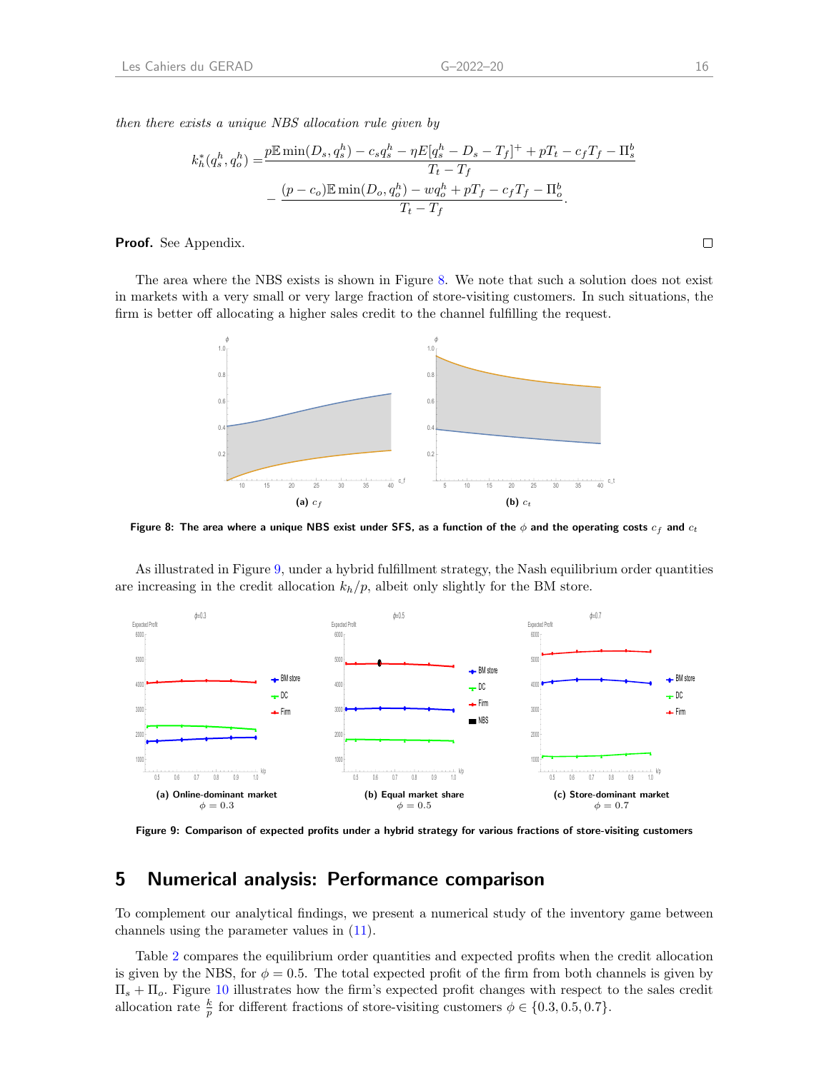then there exists a unique NBS allocation rule given by

$$
k_h^*(q_s^h, q_o^h) = \frac{p \mathbb{E} \min(D_s, q_s^h) - c_s q_s^h - \eta E[q_s^h - D_s - T_f]^+ + pT_t - c_f T_f - \Pi_s^b}{T_t - T_f} - \frac{(p - c_o) \mathbb{E} \min(D_o, q_o^h) - wq_o^h + pT_f - c_f T_f - \Pi_o^b}{T_t - T_f}.
$$

Proof. See Appendix.

<span id="page-18-1"></span>The area where the NBS exists is shown in Figure [8.](#page-18-1) We note that such a solution does not exist in markets with a very small or very large fraction of store-visiting customers. In such situations, the firm is better off allocating a higher sales credit to the channel fulfilling the request.



Figure 8: The area where a unique NBS exist under SFS, as a function of the  $\phi$  and the operating costs  $c_f$  and  $c_t$ 

As illustrated in Figure [9,](#page-18-2) under a hybrid fulfillment strategy, the Nash equilibrium order quantities are increasing in the credit allocation  $k_h/p$ , albeit only slightly for the BM store.

<span id="page-18-2"></span>

Figure 9: Comparison of expected profits under a hybrid strategy for various fractions of store-visiting customers

# <span id="page-18-0"></span>5 Numerical analysis: Performance comparison

To complement our analytical findings, we present a numerical study of the inventory game between channels using the parameter values in [\(11\)](#page-11-1).

Table [2](#page-19-0) compares the equilibrium order quantities and expected profits when the credit allocation is given by the NBS, for  $\phi = 0.5$ . The total expected profit of the firm from both channels is given by  $\Pi_s + \Pi_o$ . Figure [10](#page-19-1) illustrates how the firm's expected profit changes with respect to the sales credit allocation rate  $\frac{k}{p}$  for different fractions of store-visiting customers  $\phi \in \{0.3, 0.5, 0.7\}.$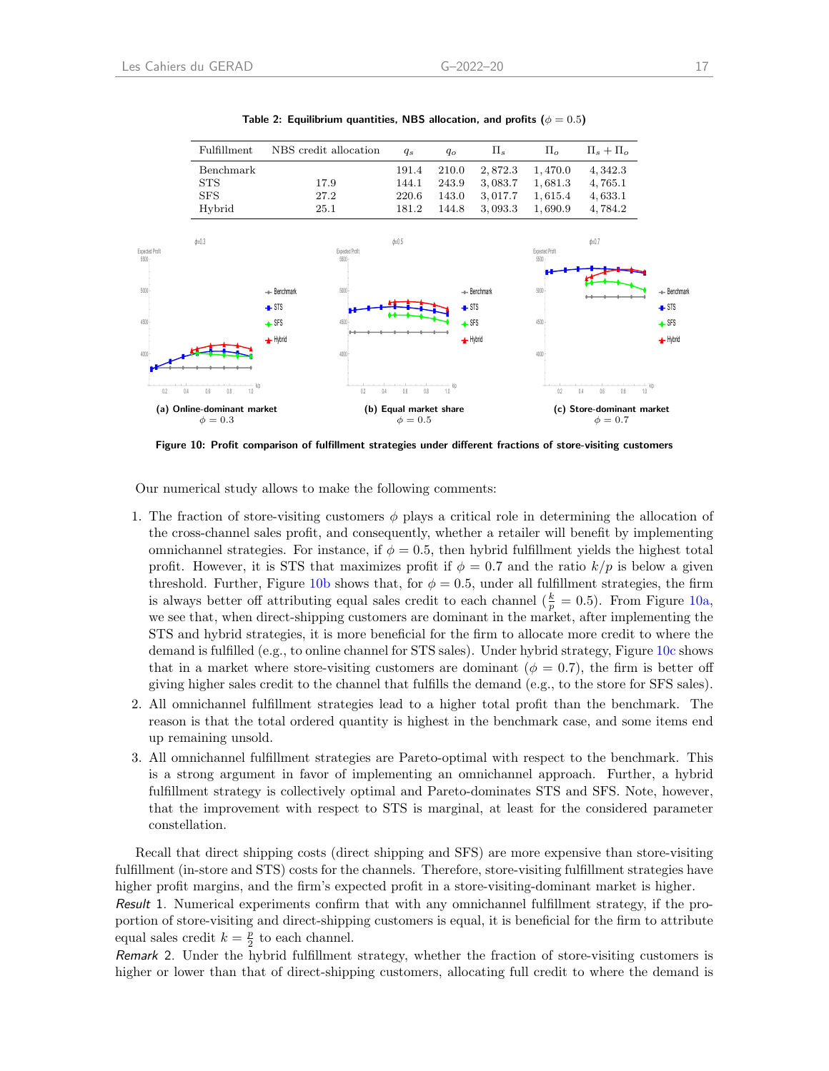<span id="page-19-1"></span><span id="page-19-0"></span>

Table 2: Equilibrium quantities, NBS allocation, and profits ( $\phi = 0.5$ )

Figure 10: Profit comparison of fulfillment strategies under different fractions of store-visiting customers

Our numerical study allows to make the following comments:

- 1. The fraction of store-visiting customers  $\phi$  plays a critical role in determining the allocation of the cross-channel sales profit, and consequently, whether a retailer will benefit by implementing omnichannel strategies. For instance, if  $\phi = 0.5$ , then hybrid fulfillment yields the highest total profit. However, it is STS that maximizes profit if  $\phi = 0.7$  and the ratio  $k/p$  is below a given threshold. Further, Figure [10b](#page-19-1) shows that, for  $\phi = 0.5$ , under all fulfillment strategies, the firm is always better off attributing equal sales credit to each channel  $(\frac{k}{p} = 0.5)$ . From Figure [10a,](#page-19-1) we see that, when direct-shipping customers are dominant in the market, after implementing the STS and hybrid strategies, it is more beneficial for the firm to allocate more credit to where the demand is fulfilled (e.g., to online channel for STS sales). Under hybrid strategy, Figure [10c](#page-19-1) shows that in a market where store-visiting customers are dominant ( $\phi = 0.7$ ), the firm is better off giving higher sales credit to the channel that fulfills the demand (e.g., to the store for SFS sales).
- 2. All omnichannel fulfillment strategies lead to a higher total profit than the benchmark. The reason is that the total ordered quantity is highest in the benchmark case, and some items end up remaining unsold.
- 3. All omnichannel fulfillment strategies are Pareto-optimal with respect to the benchmark. This is a strong argument in favor of implementing an omnichannel approach. Further, a hybrid fulfillment strategy is collectively optimal and Pareto-dominates STS and SFS. Note, however, that the improvement with respect to STS is marginal, at least for the considered parameter constellation.

Recall that direct shipping costs (direct shipping and SFS) are more expensive than store-visiting fulfillment (in-store and STS) costs for the channels. Therefore, store-visiting fulfillment strategies have higher profit margins, and the firm's expected profit in a store-visiting-dominant market is higher.

Result 1. Numerical experiments confirm that with any omnichannel fulfillment strategy, if the proportion of store-visiting and direct-shipping customers is equal, it is beneficial for the firm to attribute equal sales credit  $k = \frac{p}{2}$  to each channel.

Remark 2. Under the hybrid fulfillment strategy, whether the fraction of store-visiting customers is higher or lower than that of direct-shipping customers, allocating full credit to where the demand is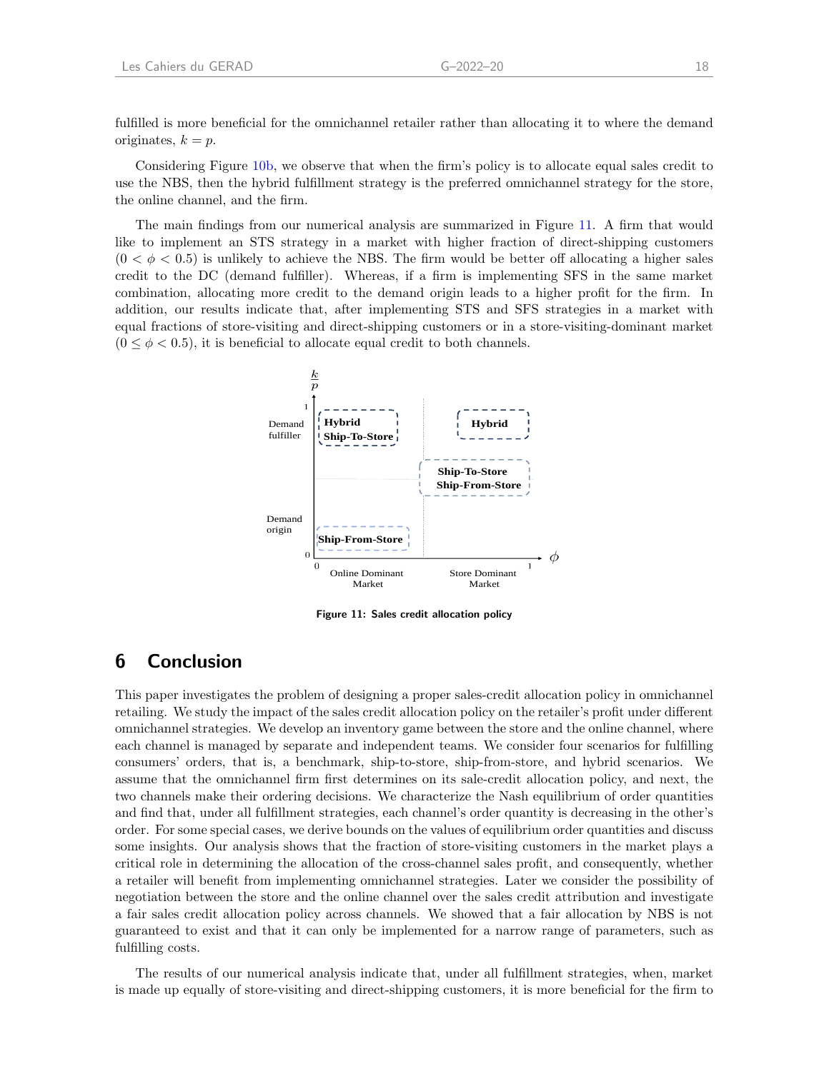fulfilled is more beneficial for the omnichannel retailer rather than allocating it to where the demand originates,  $k = p$ .

Considering Figure [10b,](#page-19-1) we observe that when the firm's policy is to allocate equal sales credit to use the NBS, then the hybrid fulfillment strategy is the preferred omnichannel strategy for the store, the online channel, and the firm.

The main findings from our numerical analysis are summarized in Figure [11.](#page-20-1) A firm that would like to implement an STS strategy in a market with higher fraction of direct-shipping customers  $(0 < \phi < 0.5)$  is unlikely to achieve the NBS. The firm would be better off allocating a higher sales credit to the DC (demand fulfiller). Whereas, if a firm is implementing SFS in the same market combination, allocating more credit to the demand origin leads to a higher profit for the firm. In addition, our results indicate that, after implementing STS and SFS strategies in a market with equal fractions of store-visiting and direct-shipping customers or in a store-visiting-dominant market  $(0 \leq \phi < 0.5)$ , it is beneficial to allocate equal credit to both channels.

<span id="page-20-1"></span>

Figure 11: Sales credit allocation policy

# <span id="page-20-0"></span>6 Conclusion

This paper investigates the problem of designing a proper sales-credit allocation policy in omnichannel retailing. We study the impact of the sales credit allocation policy on the retailer's profit under different omnichannel strategies. We develop an inventory game between the store and the online channel, where each channel is managed by separate and independent teams. We consider four scenarios for fulfilling consumers' orders, that is, a benchmark, ship-to-store, ship-from-store, and hybrid scenarios. We assume that the omnichannel firm first determines on its sale-credit allocation policy, and next, the two channels make their ordering decisions. We characterize the Nash equilibrium of order quantities and find that, under all fulfillment strategies, each channel's order quantity is decreasing in the other's order. For some special cases, we derive bounds on the values of equilibrium order quantities and discuss some insights. Our analysis shows that the fraction of store-visiting customers in the market plays a critical role in determining the allocation of the cross-channel sales profit, and consequently, whether a retailer will benefit from implementing omnichannel strategies. Later we consider the possibility of negotiation between the store and the online channel over the sales credit attribution and investigate a fair sales credit allocation policy across channels. We showed that a fair allocation by NBS is not guaranteed to exist and that it can only be implemented for a narrow range of parameters, such as fulfilling costs.

The results of our numerical analysis indicate that, under all fulfillment strategies, when, market is made up equally of store-visiting and direct-shipping customers, it is more beneficial for the firm to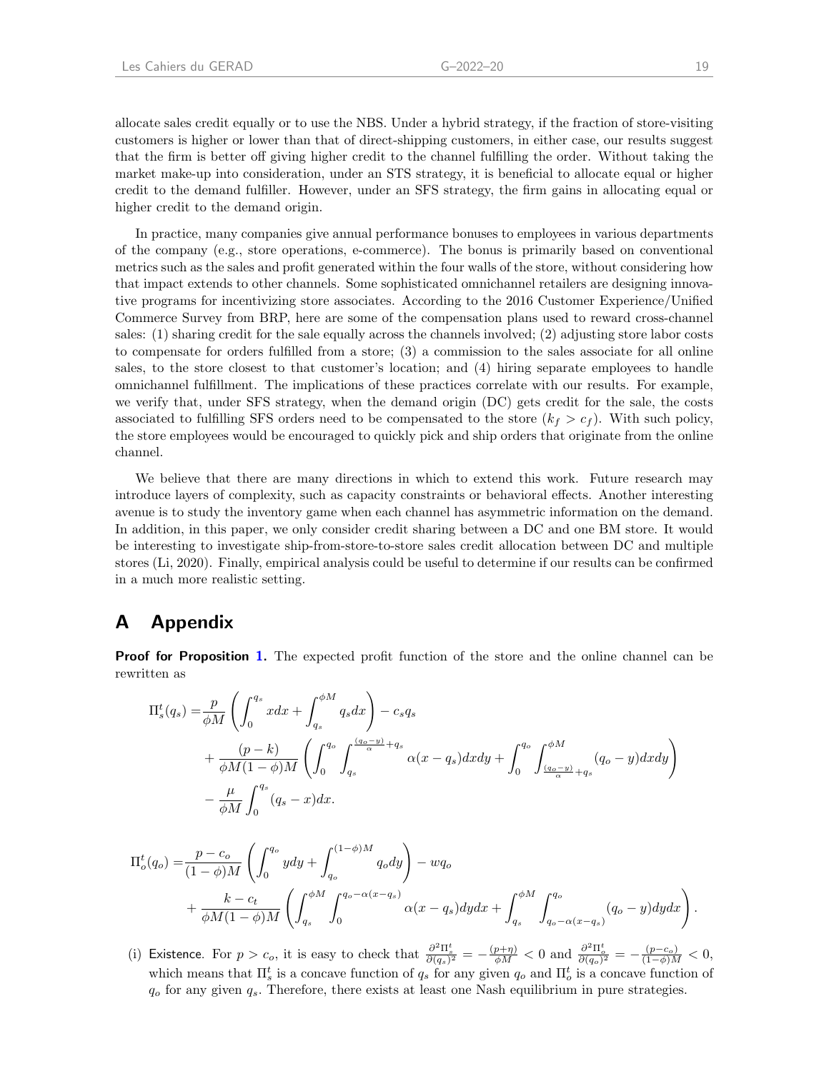allocate sales credit equally or to use the NBS. Under a hybrid strategy, if the fraction of store-visiting customers is higher or lower than that of direct-shipping customers, in either case, our results suggest that the firm is better off giving higher credit to the channel fulfilling the order. Without taking the market make-up into consideration, under an STS strategy, it is beneficial to allocate equal or higher credit to the demand fulfiller. However, under an SFS strategy, the firm gains in allocating equal or higher credit to the demand origin.

In practice, many companies give annual performance bonuses to employees in various departments of the company (e.g., store operations, e-commerce). The bonus is primarily based on conventional metrics such as the sales and profit generated within the four walls of the store, without considering how that impact extends to other channels. Some sophisticated omnichannel retailers are designing innovative programs for incentivizing store associates. According to the 2016 Customer Experience/Unified Commerce Survey from BRP, here are some of the compensation plans used to reward cross-channel sales: (1) sharing credit for the sale equally across the channels involved; (2) adjusting store labor costs to compensate for orders fulfilled from a store; (3) a commission to the sales associate for all online sales, to the store closest to that customer's location; and (4) hiring separate employees to handle omnichannel fulfillment. The implications of these practices correlate with our results. For example, we verify that, under SFS strategy, when the demand origin (DC) gets credit for the sale, the costs associated to fulfilling SFS orders need to be compensated to the store  $(k_f > c_f)$ . With such policy, the store employees would be encouraged to quickly pick and ship orders that originate from the online channel.

We believe that there are many directions in which to extend this work. Future research may introduce layers of complexity, such as capacity constraints or behavioral effects. Another interesting avenue is to study the inventory game when each channel has asymmetric information on the demand. In addition, in this paper, we only consider credit sharing between a DC and one BM store. It would be interesting to investigate ship-from-store-to-store sales credit allocation between DC and multiple stores [\(Li,](#page-28-6) [2020\)](#page-28-6). Finally, empirical analysis could be useful to determine if our results can be confirmed in a much more realistic setting.

# A Appendix

**Proof for Proposition [1.](#page-10-2)** The expected profit function of the store and the online channel can be rewritten as

$$
\Pi_s^t(q_s) = \frac{p}{\phi M} \left( \int_0^{q_s} x dx + \int_{q_s}^{\phi M} q_s dx \right) - c_s q_s
$$
  
+ 
$$
\frac{(p-k)}{\phi M (1-\phi)M} \left( \int_0^{q_o} \int_{q_s}^{\frac{(q_o-y)}{\alpha}+q_s} \alpha(x-q_s) dx dy + \int_0^{q_o} \int_{\frac{(q_o-y)}{\alpha}+q_s}^{\phi M} (q_o-y) dx dy \right)
$$
  
- 
$$
\frac{\mu}{\phi M} \int_0^{q_s} (q_s-x) dx.
$$

$$
\Pi_o^t(q_o) = \frac{p - c_o}{(1 - \phi)M} \left( \int_0^{q_o} y dy + \int_{q_o}^{(1 - \phi)M} q_o dy \right) - wq_o
$$
  
+ 
$$
\frac{k - c_t}{\phi M (1 - \phi)M} \left( \int_{q_s}^{\phi M} \int_0^{q_o - \alpha(x - q_s)} \alpha(x - q_s) dy dx + \int_{q_s}^{\phi M} \int_{q_o - \alpha(x - q_s)}^{q_o} (q_o - y) dy dx \right).
$$

(i) Existence. For  $p > c_o$ , it is easy to check that  $\frac{\partial^2 \Pi_s^t}{\partial (q_s)^2} = -\frac{(p+\eta)}{\phi M} < 0$  and  $\frac{\partial^2 \Pi_o^t}{\partial (q_o)^2} = -\frac{(p-c_o)}{(1-\phi)M} < 0$ , which means that  $\Pi_s^t$  is a concave function of  $q_s$  for any given  $q_o$  and  $\Pi_o^t$  is a concave function of  $q_o$  for any given  $q_s$ . Therefore, there exists at least one Nash equilibrium in pure strategies.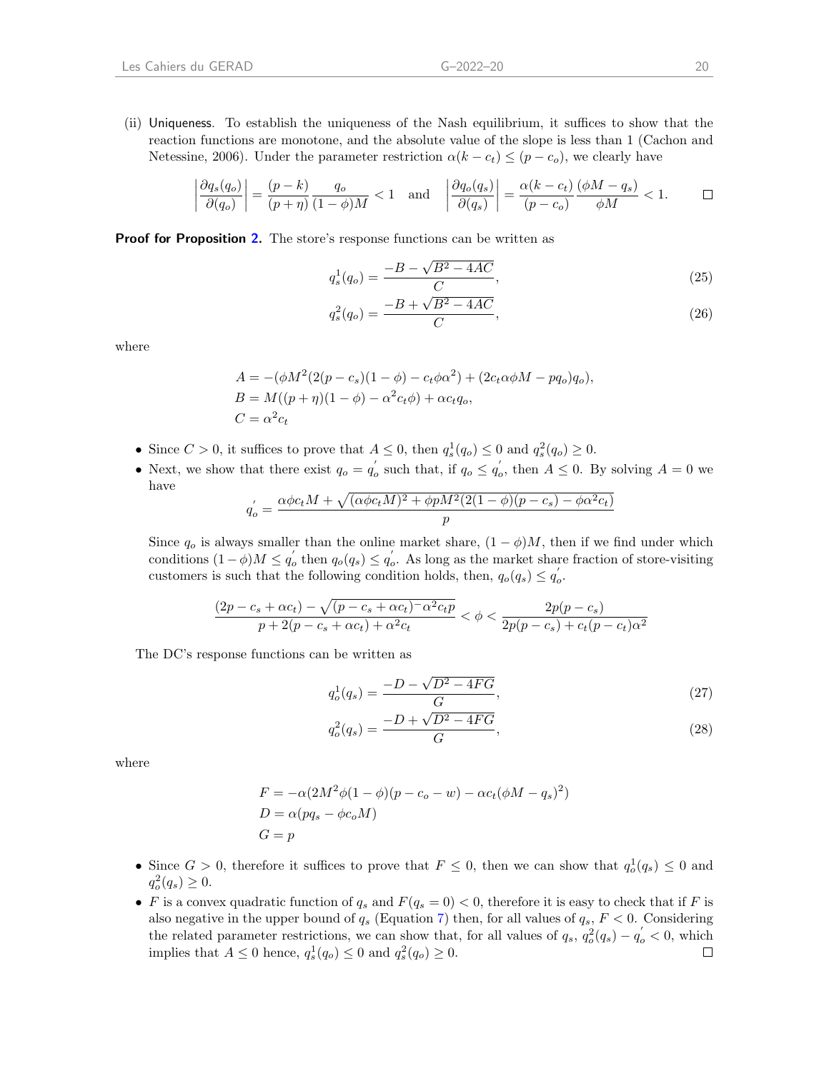(ii) Uniqueness. To establish the uniqueness of the Nash equilibrium, it suffices to show that the reaction functions are monotone, and the absolute value of the slope is less than 1 [\(Cachon and](#page-27-22) [Netessine,](#page-27-22) [2006\)](#page-27-22). Under the parameter restriction  $\alpha(k - c_t) \leq (p - c_o)$ , we clearly have

$$
\left|\frac{\partial q_s(q_o)}{\partial (q_o)}\right| = \frac{(p-k)}{(p+\eta)}\frac{q_o}{(1-\phi)M} < 1 \quad \text{and} \quad \left|\frac{\partial q_o(q_s)}{\partial (q_s)}\right| = \frac{\alpha(k-c_t)}{(p-c_o)}\frac{(\phi M - q_s)}{\phi M} < 1. \quad \Box
$$

Proof for Proposition [2.](#page-12-1) The store's response functions can be written as

$$
q_s^1(q_o) = \frac{-B - \sqrt{B^2 - 4AC}}{C},\tag{25}
$$

$$
q_s^2(q_o) = \frac{-B + \sqrt{B^2 - 4AC}}{C},\tag{26}
$$

where

$$
A = -(\phi M^{2} (2(p - c_{s})(1 - \phi) - c_{t} \phi \alpha^{2}) + (2c_{t} \alpha \phi M - pq_{o})q_{o}),
$$
  
\n
$$
B = M((p + \eta)(1 - \phi) - \alpha^{2} c_{t} \phi) + \alpha c_{t} q_{o},
$$
  
\n
$$
C = \alpha^{2} c_{t}
$$

- Since  $C > 0$ , it suffices to prove that  $A \leq 0$ , then  $q_s^1(q_o) \leq 0$  and  $q_s^2(q_o) \geq 0$ .
- Next, we show that there exist  $q_o = q_o'$  such that, if  $q_o \leq q_o'$ , then  $A \leq 0$ . By solving  $A = 0$  we have

$$
q'_{o} = \frac{\alpha \phi c_t M + \sqrt{(\alpha \phi c_t M)^2 + \phi p M^2 (2(1 - \phi)(p - c_s) - \phi \alpha^2 c_t)}}{p}
$$

Since  $q_o$  is always smaller than the online market share,  $(1 - \phi)M$ , then if we find under which conditions  $(1 - \phi)M \leq q'_o$  then  $q_o(q_s) \leq q'_o$ . As long as the market share fraction of store-visiting customers is such that the following condition holds, then,  $q_o(q_s) \leq q_o'$ .

$$
\frac{(2p - c_s + \alpha c_t) - \sqrt{(p - c_s + \alpha c_t)^{-1} \alpha^2 c_t p}}{p + 2(p - c_s + \alpha c_t) + \alpha^2 c_t} < \phi < \frac{2p(p - c_s)}{2p(p - c_s) + c_t (p - c_t) \alpha^2}
$$

The DC's response functions can be written as

$$
q_o^1(q_s) = \frac{-D - \sqrt{D^2 - 4FG}}{G},\tag{27}
$$

$$
q_o^2(q_s) = \frac{-D + \sqrt{D^2 - 4FG}}{G},\tag{28}
$$

where

$$
F = -\alpha (2M^2 \phi (1 - \phi)(p - c_o - w) - \alpha c_t (\phi M - q_s)^2)
$$
  
\n
$$
D = \alpha (pq_s - \phi c_o M)
$$
  
\n
$$
G = p
$$

- Since  $G > 0$ , therefore it suffices to prove that  $F \leq 0$ , then we can show that  $q_o^1(q_s) \leq 0$  and  $q_o^2(q_s) \geq 0.$
- F is a convex quadratic function of  $q_s$  and  $F(q_s = 0) < 0$ , therefore it is easy to check that if F is also negative in the upper bound of  $q_s$  (Equation [7\)](#page-11-2) then, for all values of  $q_s$ ,  $F < 0$ . Considering the related parameter restrictions, we can show that, for all values of  $q_s$ ,  $q_o^2(q_s) - q_o' < 0$ , which implies that  $A \leq 0$  hence,  $q_s^1(q_o) \leq 0$  and  $q_s^2(q_o) \geq 0$ .  $\Box$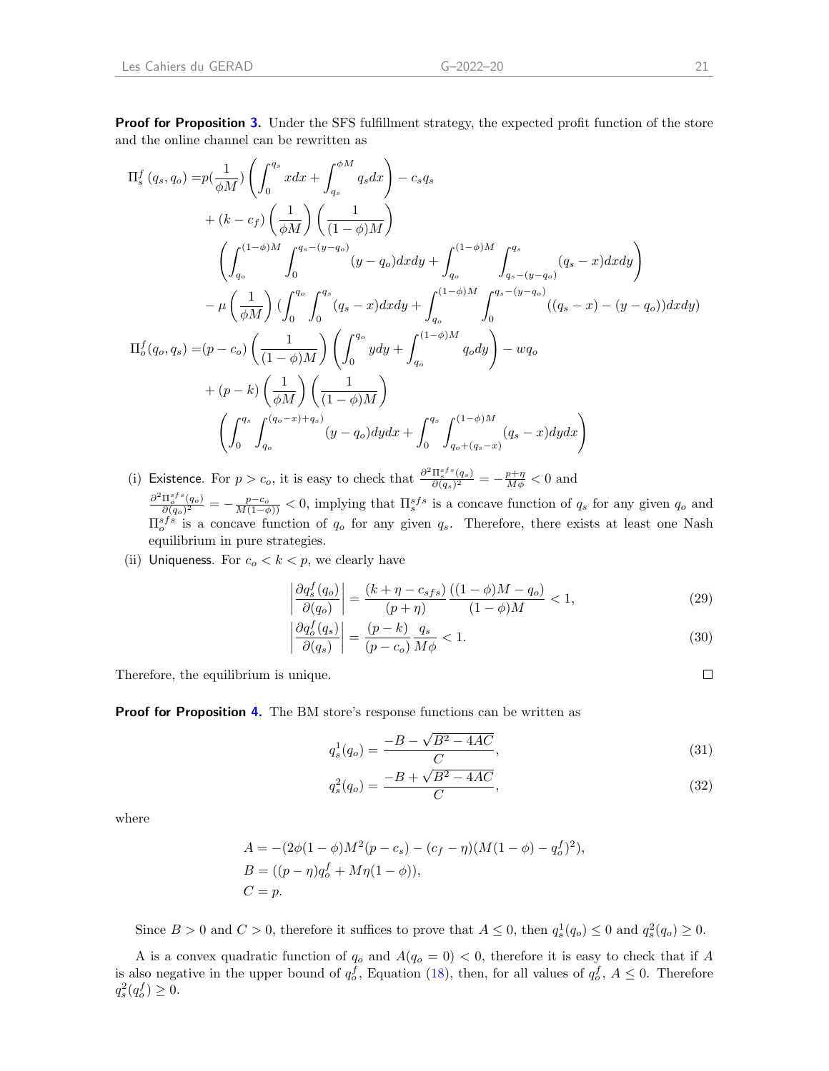**Proof for Proposition [3.](#page-13-3)** Under the SFS fulfillment strategy, the expected profit function of the store and the online channel can be rewritten as

$$
\begin{split} \Pi_{s}^{f}\left(q_{s},q_{o}\right)=&p(\frac{1}{\phi M})\left(\int_{0}^{q_{s}}xdx+\int_{q_{s}}^{\phi M}q_{s}dx\right)-c_{s}q_{s}\\ &+(k-c_{f})\left(\frac{1}{\phi M}\right)\left(\frac{1}{(1-\phi)M}\right)\\ &\left(\int_{q_{o}}^{(1-\phi)M}\int_{0}^{q_{s}-(y-q_{o})}(y-q_{o})dxdy+\int_{q_{o}}^{(1-\phi)M}\int_{q_{s}-(y-q_{o})}^{q_{s}}(q_{s}-x)dxdy\right)\\ &-\mu\left(\frac{1}{\phi M}\right)(\int_{0}^{q_{o}}\int_{0}^{q_{s}}(q_{s}-x)dxdy+\int_{q_{o}}^{(1-\phi)M}\int_{0}^{q_{s}-(y-q_{o})}((q_{s}-x)-(y-q_{o}))dxdy)\\ \Pi_{o}^{f}(q_{o},q_{s})=&(p-c_{o})\left(\frac{1}{(1-\phi)M}\right)\left(\int_{0}^{q_{o}}ydy+\int_{q_{o}}^{(1-\phi)M}q_{o}dy\right)-wq_{o}\\ &+(p-k)\left(\frac{1}{\phi M}\right)\left(\frac{1}{(1-\phi)M}\right)\\ &\left(\int_{0}^{q_{s}}\int_{q_{o}}^{(q_{o}-x)+q_{s}}(y-q_{o})dydx+\int_{0}^{q_{s}}\int_{q_{o}+(q_{s}-x)}^{(1-\phi)M}(q_{s}-x)dydx\right) \end{split}
$$

(i) Existence. For  $p > c_o$ , it is easy to check that  $\frac{\partial^2 \Pi_s^{sfs}(q_s)}{\partial (q_o)^2}$  $\frac{\Pi_s^{s\,js}(q_s)}{\partial (q_s)^2} = -\frac{p+\eta}{M\phi} < 0$  and  $\frac{\partial^2 \Pi_o^{sfs}(q_o)}{=}$  $\frac{\prod_{o}^{s} f^{s}(q_o)}{\partial(q_o)^2} = -\frac{p-c_o}{M(1-\phi)} < 0$ , implying that  $\prod_{s}^{s} f^s$  is a concave function of  $q_s$  for any given  $q_o$  and  $\Pi_0^{sfs}$  is a concave function of  $q_o$  for any given  $q_s$ . Therefore, there exists at least one Nash equilibrium in pure strategies.

(ii) Uniqueness. For  $c_o < k < p$ , we clearly have

$$
\left|\frac{\partial q_s^f(q_o)}{\partial (q_o)}\right| = \frac{(k+\eta-c_{sfs})}{(p+\eta)} \frac{((1-\phi)M-q_o)}{(1-\phi)M} < 1,\tag{29}
$$

$$
\left| \frac{\partial q_o^f(q_s)}{\partial (q_s)} \right| = \frac{(p-k)}{(p-c_o)} \frac{q_s}{M\phi} < 1. \tag{30}
$$

Therefore, the equilibrium is unique.

Proof for Proposition [4.](#page-15-2) The BM store's response functions can be written as

$$
q_s^1(q_o) = \frac{-B - \sqrt{B^2 - 4AC}}{C},\tag{31}
$$

$$
q_s^2(q_o) = \frac{-B + \sqrt{B^2 - 4AC}}{C},\tag{32}
$$

where

$$
A = -(2\phi(1-\phi)M^2(p-c_s) - (c_f - \eta)(M(1-\phi) - q_o^f)^2),
$$
  
\n
$$
B = ((p - \eta)q_o^f + M\eta(1-\phi)),
$$
  
\n
$$
C = p.
$$

Since  $B > 0$  and  $C > 0$ , therefore it suffices to prove that  $A \leq 0$ , then  $q_s^1(q_o) \leq 0$  and  $q_s^2(q_o) \geq 0$ .

A is a convex quadratic function of  $q_o$  and  $A(q_o = 0) < 0$ , therefore it is easy to check that if A is also negative in the upper bound of  $q_o^f$ , Equation [\(18\)](#page-14-2), then, for all values of  $q_o^f$ ,  $A \leq 0$ . Therefore  $q_s^2(q_o^f) \ge 0.$ 

$$
\Box
$$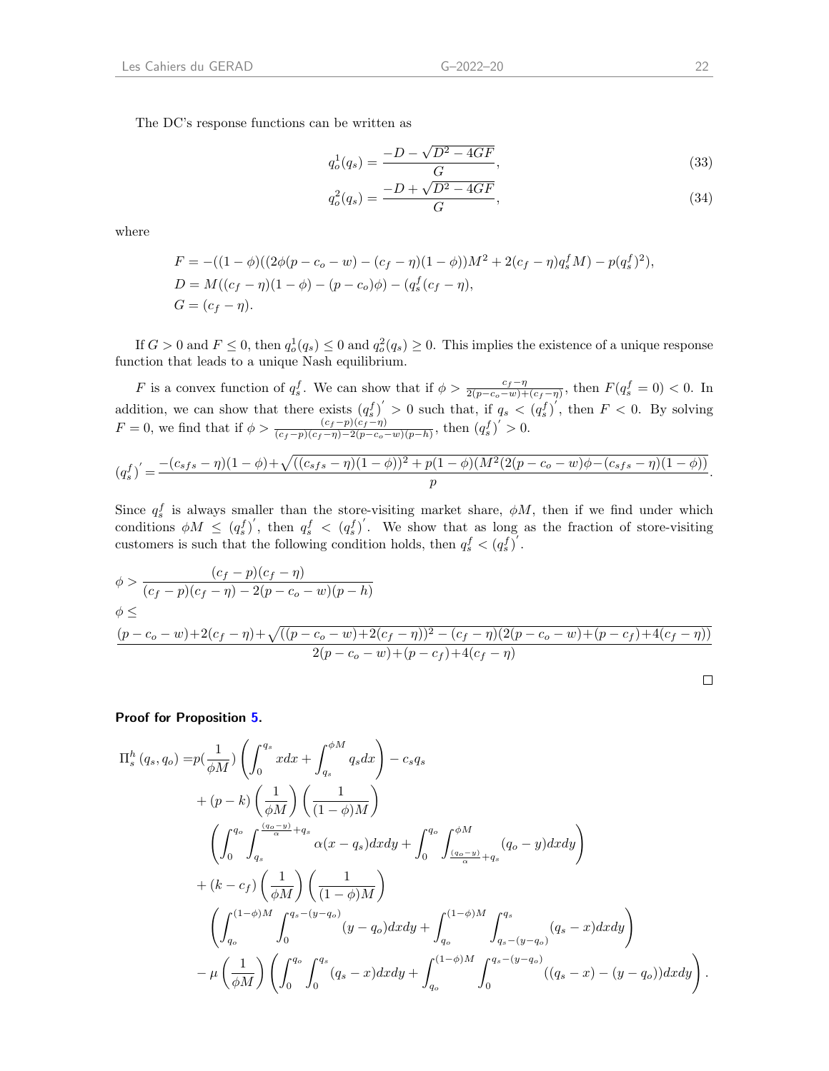The DC's response functions can be written as

$$
q_o^1(q_s) = \frac{-D - \sqrt{D^2 - 4GF}}{G},\tag{33}
$$

$$
q_o^2(q_s) = \frac{-D + \sqrt{D^2 - 4GF}}{G},\tag{34}
$$

where

$$
F = -((1 - \phi)((2\phi(p - c_o - w) - (c_f - \eta)(1 - \phi))M^2 + 2(c_f - \eta)q_s^f M) - p(q_s^f)^2),
$$
  
\n
$$
D = M((c_f - \eta)(1 - \phi) - (p - c_o)\phi) - (q_s^f(c_f - \eta),
$$
  
\n
$$
G = (c_f - \eta).
$$

If  $G > 0$  and  $F \leq 0$ , then  $q_o^1(q_s) \leq 0$  and  $q_o^2(q_s) \geq 0$ . This implies the existence of a unique response function that leads to a unique Nash equilibrium.

F is a convex function of  $q_s^f$ . We can show that if  $\phi > \frac{c_f - \eta}{2(p - c_o - w) + (c_f - \eta)}$ , then  $F(q_s^f = 0) < 0$ . In addition, we can show that there exists  $(q_s^f)' > 0$  such that, if  $q_s < (q_s^f)'$ , then  $F < 0$ . By solving  $F = 0$ , we find that if  $\phi > \frac{(c_f - p)(c_f - \eta)}{(c_f - p)(c_f - \eta) - 2(p - c_o - w)(p - h)}$ , then  $(q_s^f)' > 0$ .

$$
(q_s^f)' = \frac{-(c_{sfs} - \eta)(1 - \phi) + \sqrt{((c_{sfs} - \eta)(1 - \phi))^2 + p(1 - \phi)(M^2(2(p - c_o - w)\phi - (c_{sfs} - \eta)(1 - \phi))}}{p}.
$$

Since  $q_s^f$  is always smaller than the store-visiting market share,  $\phi M$ , then if we find under which conditions  $\phi M \leq (q_s^f)'$ , then  $q_s^f < (q_s^f)'$ . We show that as long as the fraction of store-visiting customers is such that the following condition holds, then  $q_s^f < (q_s^f)'$ .

$$
\phi > \frac{(c_f - p)(c_f - \eta)}{(c_f - p)(c_f - \eta) - 2(p - c_o - w)(p - h)}
$$
  
\n
$$
\phi \le \frac{(p - c_o - w) + 2(c_f - \eta) + \sqrt{((p - c_o - w) + 2(c_f - \eta))^2 - (c_f - \eta)(2(p - c_o - w) + (p - c_f) + 4(c_f - \eta))}}{2(p - c_o - w) + (p - c_f) + 4(c_f - \eta)}
$$

Proof for Proposition [5.](#page-16-3)

$$
\Pi_{s}^{h} (q_{s}, q_{o}) = p(\frac{1}{\phi M}) \left( \int_{0}^{q_{s}} x dx + \int_{q_{s}}^{\phi M} q_{s} dx \right) - c_{s} q_{s} \n+ (p - k) \left( \frac{1}{\phi M} \right) \left( \frac{1}{(1 - \phi)M} \right) \n\left( \int_{0}^{q_{o}} \int_{q_{s}}^{\frac{(q_{o} - y)}{\alpha} + q_{s}} \alpha(x - q_{s}) dx dy + \int_{0}^{q_{o}} \int_{\frac{(q_{o} - y)}{\alpha} + q_{s}}^{\phi M} (q_{o} - y) dx dy \right) \n+ (k - c_{f}) \left( \frac{1}{\phi M} \right) \left( \frac{1}{(1 - \phi)M} \right) \n\left( \int_{q_{o}}^{(1 - \phi)M} \int_{0}^{q_{s} - (y - q_{o})} (y - q_{o}) dx dy + \int_{q_{o}}^{(1 - \phi)M} \int_{q_{s} - (y - q_{o})}^{q_{s}} (q_{s} - x) dx dy \right) \n- \mu \left( \frac{1}{\phi M} \right) \left( \int_{0}^{q_{o}} \int_{0}^{q_{s}} (q_{s} - x) dx dy + \int_{q_{o}}^{(1 - \phi)M} \int_{0}^{q_{s} - (y - q_{o})} ((q_{s} - x) - (y - q_{o})) dx dy \right).
$$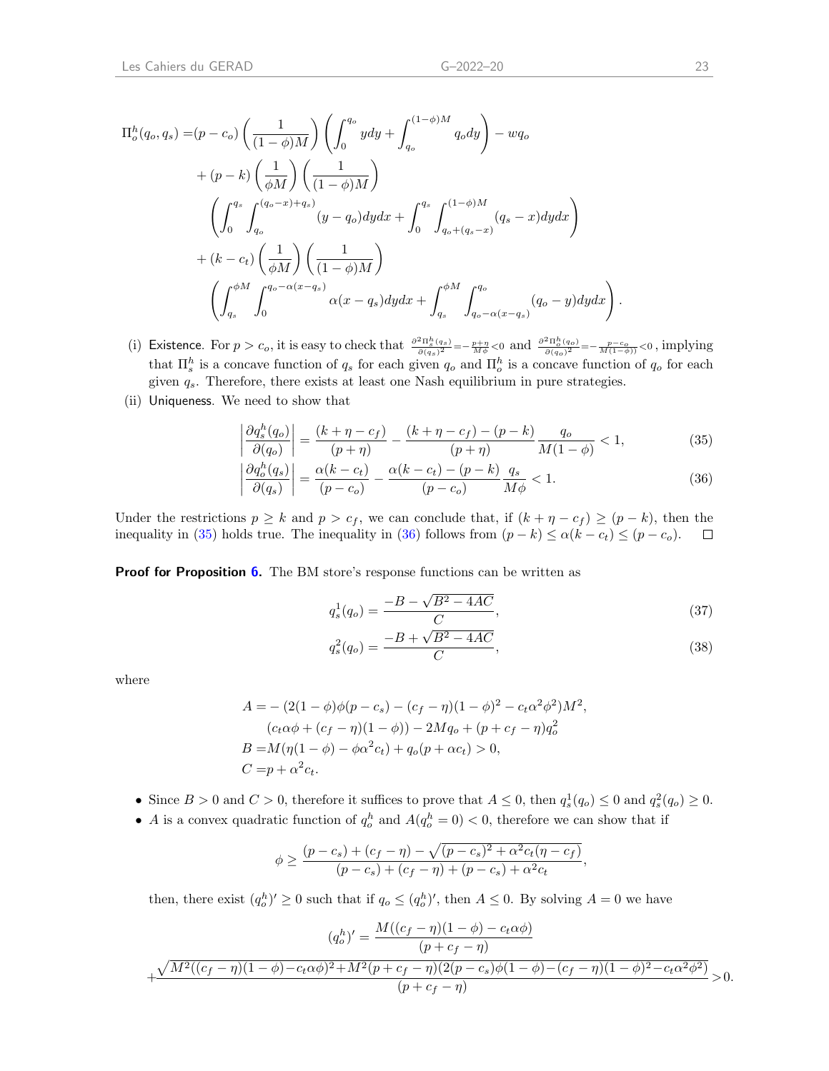$$
\Pi_o^h(q_o, q_s) = (p - c_o) \left(\frac{1}{(1 - \phi)M}\right) \left(\int_0^{q_o} y dy + \int_{q_o}^{(1 - \phi)M} q_o dy\right) - wq_o
$$
  
+ 
$$
(p - k) \left(\frac{1}{\phi M}\right) \left(\frac{1}{(1 - \phi)M}\right)
$$
  

$$
\left(\int_0^{q_s} \int_{q_o}^{(q_o - x) + q_s} (y - q_o) dy dx + \int_0^{q_s} \int_{q_o + (q_s - x)}^{(1 - \phi)M} (q_s - x) dy dx\right)
$$
  
+ 
$$
(k - c_t) \left(\frac{1}{\phi M}\right) \left(\frac{1}{(1 - \phi)M}\right)
$$
  

$$
\left(\int_{q_s}^{\phi M} \int_0^{q_o - \alpha(x - q_s)} \alpha(x - q_s) dy dx + \int_{q_s}^{\phi M} \int_{q_o - \alpha(x - q_s)}^{q_o} (q_o - y) dy dx\right)
$$

- (i) Existence. For  $p > c_o$ , it is easy to check that  $\frac{\partial^2 \Pi_{\delta}^h(q_s)}{\partial(q_s)^2} = -\frac{p+\eta}{M\phi} < 0$  and  $\frac{\partial^2 \Pi_{\delta}^h(q_o)}{\partial(q_o)^2} = -\frac{p-c_o}{M(1-\phi)} < 0$ , implying that  $\prod_s^h$  is a concave function of  $q_s$  for each given  $q_o$  and  $\prod_b^h$  is a concave function of  $q_o$  for each given  $q_s$ . Therefore, there exists at least one Nash equilibrium in pure strategies.
- (ii) Uniqueness. We need to show that

$$
\left| \frac{\partial q_s^h(q_o)}{\partial (q_o)} \right| = \frac{(k + \eta - c_f)}{(p + \eta)} - \frac{(k + \eta - c_f) - (p - k)}{(p + \eta)} \frac{q_o}{M(1 - \phi)} < 1,\tag{35}
$$

$$
\left|\frac{\partial q_o^h(q_s)}{\partial (q_s)}\right| = \frac{\alpha(k-c_t)}{(p-c_o)} - \frac{\alpha(k-c_t) - (p-k)}{(p-c_o)} \frac{q_s}{M\phi} < 1. \tag{36}
$$

Under the restrictions  $p \ge k$  and  $p > c_f$ , we can conclude that, if  $(k + \eta - c_f) \ge (p - k)$ , then the inequality in [\(35\)](#page-25-0) holds true. The inequality in [\(36\)](#page-25-1) follows from  $(p - k) \le \alpha (k - c_t) \le (p - c_o)$ .  $\Box$ 

Proof for Proposition [6.](#page-17-1) The BM store's response functions can be written as

$$
q_s^1(q_o) = \frac{-B - \sqrt{B^2 - 4AC}}{C},\tag{37}
$$

$$
q_s^2(q_o) = \frac{-B + \sqrt{B^2 - 4AC}}{C},\tag{38}
$$

where

$$
A = - (2(1 - \phi)\phi(p - c_s) - (c_f - \eta)(1 - \phi)^2 - c_t\alpha^2\phi^2)M^2,
$$
  
\n
$$
(c_t\alpha\phi + (c_f - \eta)(1 - \phi)) - 2Mq_o + (p + c_f - \eta)q_o^2
$$
  
\n
$$
B = M(\eta(1 - \phi) - \phi\alpha^2c_t) + q_o(p + \alpha c_t) > 0,
$$
  
\n
$$
C = p + \alpha^2c_t.
$$

- Since  $B > 0$  and  $C > 0$ , therefore it suffices to prove that  $A \leq 0$ , then  $q_s^1(q_o) \leq 0$  and  $q_s^2(q_o) \geq 0$ .
- A is a convex quadratic function of  $q_o^h$  and  $A(q_o^h = 0) < 0$ , therefore we can show that if

$$
\phi \ge \frac{(p-c_s) + (c_f - \eta) - \sqrt{(p-c_s)^2 + \alpha^2 c_t (\eta - c_f)}}{(p-c_s) + (c_f - \eta) + (p-c_s) + \alpha^2 c_t},
$$

then, there exist  $(q_o^h)' \geq 0$  such that if  $q_o \leq (q_o^h)'$ , then  $A \leq 0$ . By solving  $A = 0$  we have

$$
(q_o^h)' = \frac{M((c_f - \eta)(1 - \phi) - c_t \alpha \phi)}{(p + c_f - \eta)}
$$

$$
+ \frac{\sqrt{M^2((c_f - \eta)(1 - \phi) - c_t \alpha \phi)^2 + M^2(p + c_f - \eta)(2(p - c_s)\phi(1 - \phi) - (c_f - \eta)(1 - \phi)^2 - c_t \alpha^2 \phi^2)}}{(p + c_f - \eta)} > 0.
$$

<span id="page-25-1"></span><span id="page-25-0"></span>.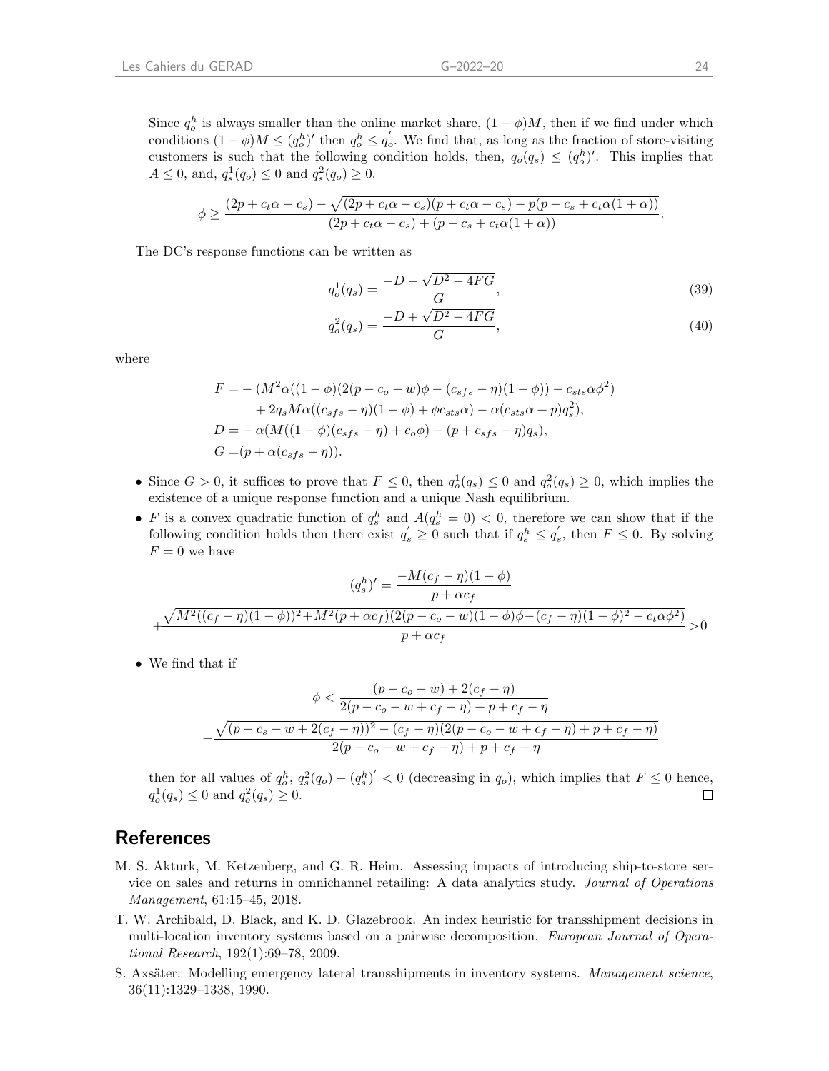Since  $q_o^h$  is always smaller than the online market share,  $(1 - \phi)M$ , then if we find under which conditions  $(1 - \phi)M \leq (q_o^h)'$  then  $q_o^h \leq q_o'$ . We find that, as long as the fraction of store-visiting customers is such that the following condition holds, then,  $q_o(q_s) \leq (q_o^h)'$ . This implies that  $A \leq 0$ , and,  $q_s^1(q_o) \leq 0$  and  $q_s^2(q_o) \geq 0$ .

$$
\phi \geq \frac{(2p+c_t\alpha-c_s)-\sqrt{(2p+c_t\alpha-c_s)(p+c_t\alpha-c_s)-p(p-c_s+c_t\alpha(1+\alpha))}}{(2p+c_t\alpha-c_s)+(p-c_s+c_t\alpha(1+\alpha))}.
$$

The DC's response functions can be written as

$$
q_o^1(q_s) = \frac{-D - \sqrt{D^2 - 4FG}}{G},\tag{39}
$$

$$
q_o^2(q_s) = \frac{-D + \sqrt{D^2 - 4FG}}{G},\tag{40}
$$

where

$$
F = - (M^{2}\alpha((1 - \phi)(2(p - c_{o} - w)\phi - (c_{sfs} - \eta)(1 - \phi)) - c_{sts}\alpha\phi^{2})
$$
  
+ 2q<sub>s</sub>M\alpha((c\_{sfs} - \eta)(1 - \phi) + \phi c\_{sts}\alpha) - \alpha(c\_{sts}\alpha + p)q\_{s}^{2}),  

$$
D = -\alpha(M((1 - \phi)(c_{sfs} - \eta) + c_{o}\phi) - (p + c_{sfs} - \eta)q_{s}),
$$
  

$$
G = (p + \alpha(c_{sfs} - \eta)).
$$

- Since  $G > 0$ , it suffices to prove that  $F \leq 0$ , then  $q_o^1(q_s) \leq 0$  and  $q_o^2(q_s) \geq 0$ , which implies the existence of a unique response function and a unique Nash equilibrium.
- F is a convex quadratic function of  $q_s^h$  and  $A(q_s^h = 0) < 0$ , therefore we can show that if the following condition holds then there exist  $q'_s \geq 0$  such that if  $q_s^h \leq q'_s$ , then  $F \leq 0$ . By solving  $F = 0$  we have

$$
(q_s^h)' = \frac{-M(c_f - \eta)(1 - \phi)}{p + \alpha c_f}
$$

$$
+ \frac{\sqrt{M^2((c_f - \eta)(1 - \phi))^2 + M^2(p + \alpha c_f)(2(p - c_o - w)(1 - \phi)\phi - (c_f - \eta)(1 - \phi)^2 - c_t \alpha \phi^2)}}{p + \alpha c_f} > 0
$$

• We find that if

$$
\phi < \frac{(p - c_o - w) + 2(c_f - \eta)}{2(p - c_o - w + c_f - \eta) + p + c_f - \eta}
$$
\n
$$
-\frac{\sqrt{(p - c_s - w + 2(c_f - \eta))^2 - (c_f - \eta)(2(p - c_o - w + c_f - \eta) + p + c_f - \eta)}}{2(p - c_o - w + c_f - \eta) + p + c_f - \eta}
$$

then for all values of  $q_o^h$ ,  $q_s^2(q_o) - (q_s^h)' < 0$  (decreasing in  $q_o$ ), which implies that  $F \leq 0$  hence,  $q_o^1(q_s) \leq 0$  and  $q_o^2(q_s) \geq 0$ .

## **References**

- <span id="page-26-0"></span>M. S. Akturk, M. Ketzenberg, and G. R. Heim. Assessing impacts of introducing ship-to-store service on sales and returns in omnichannel retailing: A data analytics study. Journal of Operations Management, 61:15–45, 2018.
- <span id="page-26-2"></span>T. W. Archibald, D. Black, and K. D. Glazebrook. An index heuristic for transshipment decisions in multi-location inventory systems based on a pairwise decomposition. European Journal of Operational Research, 192(1):69–78, 2009.
- <span id="page-26-1"></span>S. Axsäter. Modelling emergency lateral transshipments in inventory systems. Management science, 36(11):1329–1338, 1990.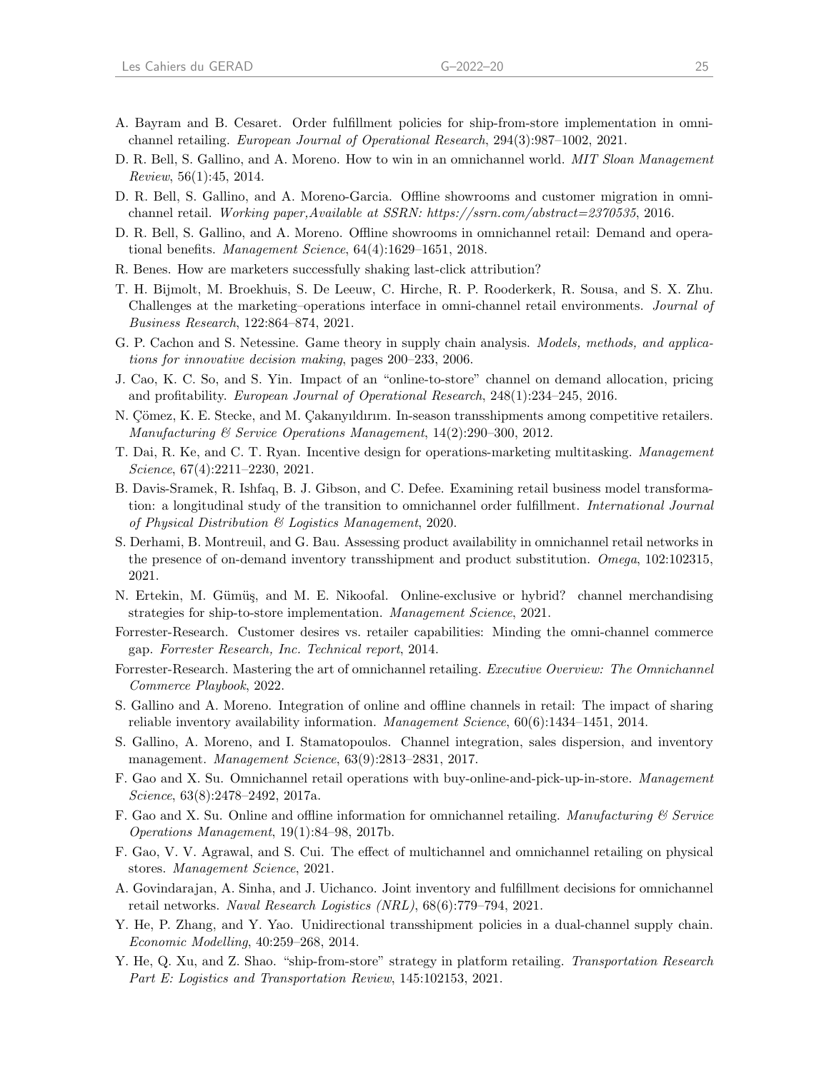- <span id="page-27-17"></span>A. Bayram and B. Cesaret. Order fulfillment policies for ship-from-store implementation in omnichannel retailing. European Journal of Operational Research, 294(3):987–1002, 2021.
- <span id="page-27-0"></span>D. R. Bell, S. Gallino, and A. Moreno. How to win in an omnichannel world. MIT Sloan Management  $Review, 56(1):45, 2014.$
- <span id="page-27-6"></span>D. R. Bell, S. Gallino, and A. Moreno-Garcia. Offline showrooms and customer migration in omnichannel retail. Working paper,Available at SSRN: https://ssrn.com/abstract=2370535, 2016.
- <span id="page-27-11"></span>D. R. Bell, S. Gallino, and A. Moreno. Offline showrooms in omnichannel retail: Demand and operational benefits. Management Science, 64(4):1629–1651, 2018.
- <span id="page-27-5"></span>R. Benes. How are marketers successfully shaking last-click attribution?
- <span id="page-27-8"></span>T. H. Bijmolt, M. Broekhuis, S. De Leeuw, C. Hirche, R. P. Rooderkerk, R. Sousa, and S. X. Zhu. Challenges at the marketing–operations interface in omni-channel retail environments. Journal of Business Research, 122:864–874, 2021.
- <span id="page-27-22"></span>G. P. Cachon and S. Netessine. Game theory in supply chain analysis. Models, methods, and applications for innovative decision making, pages 200–233, 2006.
- <span id="page-27-12"></span>J. Cao, K. C. So, and S. Yin. Impact of an "online-to-store" channel on demand allocation, pricing and profitability. European Journal of Operational Research, 248(1):234–245, 2016.
- <span id="page-27-19"></span>N. Comez, K. E. Stecke, and M. Cakanyıldırım. In-season transshipments among competitive retailers. Manufacturing & Service Operations Management, 14(2):290–300, 2012.
- <span id="page-27-18"></span>T. Dai, R. Ke, and C. T. Ryan. Incentive design for operations-marketing multitasking. Management Science, 67(4):2211-2230, 2021.
- <span id="page-27-7"></span>B. Davis-Sramek, R. Ishfaq, B. J. Gibson, and C. Defee. Examining retail business model transformation: a longitudinal study of the transition to omnichannel order fulfillment. International Journal of Physical Distribution & Logistics Management, 2020.
- <span id="page-27-21"></span>S. Derhami, B. Montreuil, and G. Bau. Assessing product availability in omnichannel retail networks in the presence of on-demand inventory transshipment and product substitution. Omega, 102:102315, 2021.
- <span id="page-27-10"></span>N. Ertekin, M. Gümüş, and M. E. Nikoofal. Online-exclusive or hybrid? channel merchandising strategies for ship-to-store implementation. Management Science, 2021.
- <span id="page-27-4"></span>Forrester-Research. Customer desires vs. retailer capabilities: Minding the omni-channel commerce gap. Forrester Research, Inc. Technical report, 2014.
- <span id="page-27-1"></span>Forrester-Research. Mastering the art of omnichannel retailing. Executive Overview: The Omnichannel Commerce Playbook, 2022.
- <span id="page-27-9"></span>S. Gallino and A. Moreno. Integration of online and offline channels in retail: The impact of sharing reliable inventory availability information. Management Science, 60(6):1434–1451, 2014.
- <span id="page-27-2"></span>S. Gallino, A. Moreno, and I. Stamatopoulos. Channel integration, sales dispersion, and inventory management. Management Science, 63(9):2813–2831, 2017.
- <span id="page-27-3"></span>F. Gao and X. Su. Omnichannel retail operations with buy-online-and-pick-up-in-store. Management Science, 63(8):2478–2492, 2017a.
- <span id="page-27-14"></span>F. Gao and X. Su. Online and offline information for omnichannel retailing. Manufacturing & Service Operations Management, 19(1):84–98, 2017b.
- <span id="page-27-15"></span>F. Gao, V. V. Agrawal, and S. Cui. The effect of multichannel and omnichannel retailing on physical stores. Management Science, 2021.
- <span id="page-27-13"></span>A. Govindarajan, A. Sinha, and J. Uichanco. Joint inventory and fulfillment decisions for omnichannel retail networks. Naval Research Logistics (NRL), 68(6):779–794, 2021.
- <span id="page-27-20"></span>Y. He, P. Zhang, and Y. Yao. Unidirectional transshipment policies in a dual-channel supply chain. Economic Modelling, 40:259–268, 2014.
- <span id="page-27-16"></span>Y. He, Q. Xu, and Z. Shao. "ship-from-store" strategy in platform retailing. Transportation Research Part E: Logistics and Transportation Review, 145:102153, 2021.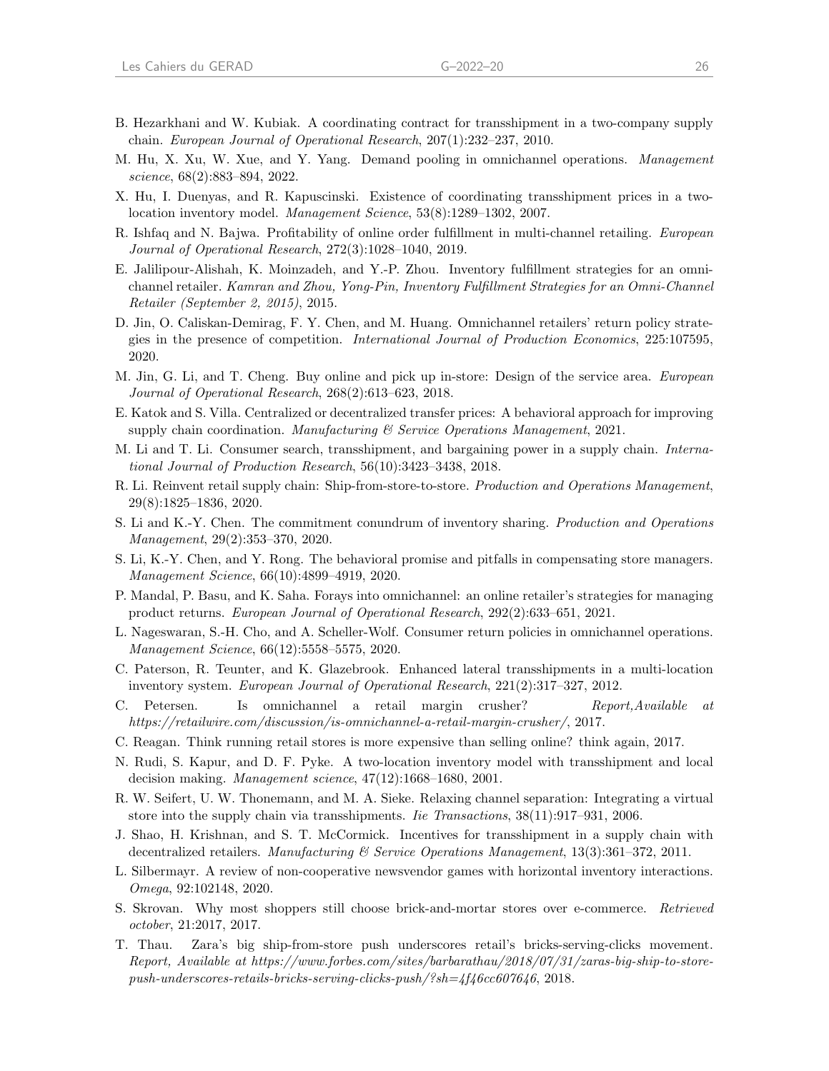- <span id="page-28-12"></span>B. Hezarkhani and W. Kubiak. A coordinating contract for transshipment in a two-company supply chain. European Journal of Operational Research, 207(1):232–237, 2010.
- <span id="page-28-1"></span>M. Hu, X. Xu, W. Xue, and Y. Yang. Demand pooling in omnichannel operations. Management science, 68(2):883–894, 2022.
- <span id="page-28-14"></span>X. Hu, I. Duenyas, and R. Kapuscinski. Existence of coordinating transshipment prices in a twolocation inventory model. Management Science, 53(8):1289–1302, 2007.
- <span id="page-28-0"></span>R. Ishfaq and N. Bajwa. Profitability of online order fulfillment in multi-channel retailing. European Journal of Operational Research, 272(3):1028–1040, 2019.
- <span id="page-28-2"></span>E. Jalilipour-Alishah, K. Moinzadeh, and Y.-P. Zhou. Inventory fulfillment strategies for an omnichannel retailer. Kamran and Zhou, Yong-Pin, Inventory Fulfillment Strategies for an Omni-Channel Retailer (September 2, 2015), 2015.
- <span id="page-28-4"></span>D. Jin, O. Caliskan-Demirag, F. Y. Chen, and M. Huang. Omnichannel retailers' return policy strategies in the presence of competition. International Journal of Production Economics, 225:107595, 2020.
- <span id="page-28-3"></span>M. Jin, G. Li, and T. Cheng. Buy online and pick up in-store: Design of the service area. European Journal of Operational Research, 268(2):613–623, 2018.
- <span id="page-28-16"></span>E. Katok and S. Villa. Centralized or decentralized transfer prices: A behavioral approach for improving supply chain coordination. Manufacturing  $\mathcal B$  Service Operations Management, 2021.
- <span id="page-28-15"></span>M. Li and T. Li. Consumer search, transshipment, and bargaining power in a supply chain. International Journal of Production Research, 56(10):3423–3438, 2018.
- <span id="page-28-6"></span>R. Li. Reinvent retail supply chain: Ship-from-store-to-store. Production and Operations Management, 29(8):1825–1836, 2020.
- <span id="page-28-17"></span>S. Li and K.-Y. Chen. The commitment conundrum of inventory sharing. Production and Operations Management, 29(2):353–370, 2020.
- <span id="page-28-7"></span>S. Li, K.-Y. Chen, and Y. Rong. The behavioral promise and pitfalls in compensating store managers. Management Science, 66(10):4899–4919, 2020.
- <span id="page-28-5"></span>P. Mandal, P. Basu, and K. Saha. Forays into omnichannel: an online retailer's strategies for managing product returns. European Journal of Operational Research, 292(2):633–651, 2021.
- <span id="page-28-19"></span>L. Nageswaran, S.-H. Cho, and A. Scheller-Wolf. Consumer return policies in omnichannel operations. Management Science, 66(12):5558–5575, 2020.
- <span id="page-28-11"></span>C. Paterson, R. Teunter, and K. Glazebrook. Enhanced lateral transshipments in a multi-location inventory system. European Journal of Operational Research, 221(2):317–327, 2012.
- <span id="page-28-20"></span>C. Petersen. Is omnichannel a retail margin crusher? Report,Available at https://retailwire.com/discussion/is-omnichannel-a-retail-margin-crusher/, 2017.
- <span id="page-28-22"></span>C. Reagan. Think running retail stores is more expensive than selling online? think again, 2017.
- <span id="page-28-8"></span>N. Rudi, S. Kapur, and D. F. Pyke. A two-location inventory model with transshipment and local decision making. Management science, 47(12):1668–1680, 2001.
- <span id="page-28-13"></span>R. W. Seifert, U. W. Thonemann, and M. A. Sieke. Relaxing channel separation: Integrating a virtual store into the supply chain via transshipments. *Iie Transactions*,  $38(11):917-931$ ,  $2006$ .
- <span id="page-28-9"></span>J. Shao, H. Krishnan, and S. T. McCormick. Incentives for transshipment in a supply chain with decentralized retailers. Manufacturing & Service Operations Management, 13(3):361–372, 2011.
- <span id="page-28-10"></span>L. Silbermayr. A review of non-cooperative newsvendor games with horizontal inventory interactions. Omega, 92:102148, 2020.
- <span id="page-28-18"></span>S. Skrovan. Why most shoppers still choose brick-and-mortar stores over e-commerce. Retrieved october, 21:2017, 2017.
- <span id="page-28-21"></span>T. Thau. Zara's big ship-from-store push underscores retail's bricks-serving-clicks movement. Report, Available at https://www.forbes.com/sites/barbarathau/2018/07/31/zaras-big-ship-to-storepush-underscores-retails-bricks-serving-clicks-push/?sh=4f46cc607646, 2018.